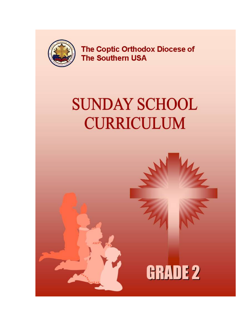

The Coptic Orthodox Diocese of<br>The Southern USA

# **SUNDAY SCHOOL CURRICULUM**

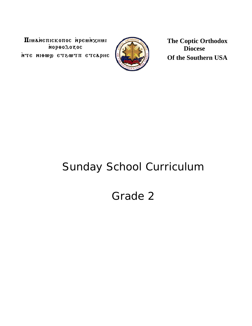Πιαλήθητα του δρεαήχειαι nopoo $\Delta$ ozoc nde niews etswan etcaphc



**The Coptic Orthodox Diocese Of the Southern USA** 

## Sunday School Curriculum

Grade 2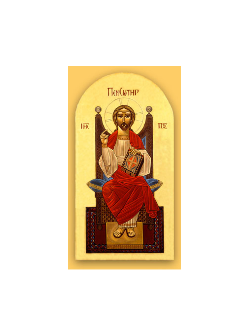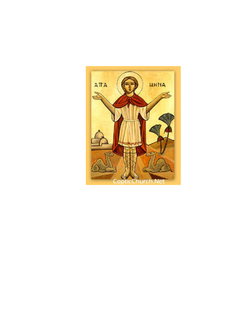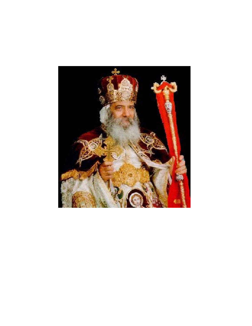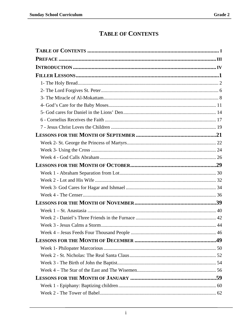## **TABLE OF CONTENTS**

<span id="page-6-0"></span>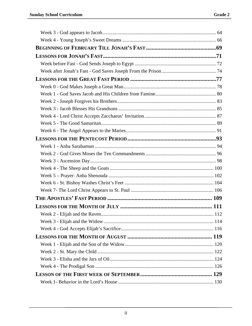| -112 |
|------|
|      |
|      |
|      |
|      |
|      |
|      |
|      |
|      |
|      |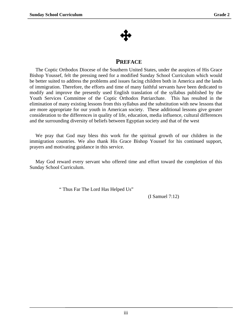

#### **PREFACE**

<span id="page-8-0"></span>The Coptic Orthodox Diocese of the Southern United States, under the auspices of His Grace Bishop Youssef, felt the pressing need for a modified Sunday School Curriculum which would be better suited to address the problems and issues facing children both in America and the lands of immigration. Therefore, the efforts and time of many faithful servants have been dedicated to modify and improve the presently used English translation of the syllabus published by the Youth Services Committee of the Coptic Orthodox Patriarchate. This has resulted in the elimination of many existing lessons from this syllabus and the substitution with new lessons that are more appropriate for our youth in American society. These additional lessons give greater consideration to the differences in quality of life, education, media influence, cultural differences and the surrounding diversity of beliefs between Egyptian society and that of the west

We pray that God may bless this work for the spiritual growth of our children in the immigration countries. We also thank His Grace Bishop Youssef for his continued support, prayers and motivating guidance in this service.

May God reward every servant who offered time and effort toward the completion of this Sunday School Curriculum.

" Thus Far The Lord Has Helped Us"

(I Samuel 7:12)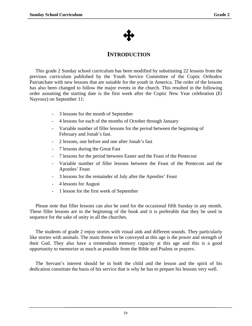

#### **INTRODUCTION**

<span id="page-9-0"></span>This grade 2 Sunday school curriculum has been modified by substituting 22 lessons from the previous curriculum published by the Youth Service Committee of the Coptic Orthodox Patriatchate with new lessons that are suitable for the youth in America. The order of the lessons has also been changed to follow the major events in the church. This resulted in the following order assuming the starting date is the first week after the Coptic New Year celebration (El Nayrooz) on September 11:

- 3 lessons for the month of September
- 4 lessons for each of the months of October through January
- Variable number of filler lessons for the period between the beginning of February and Jonah's fast.
- 2 lessons, one before and one after Jonah's fast
- 7 lessons during the Great Fast
- 7 lessons for the period between Easter and the Feast of the Pentecost
- Variable number of filler lessons between the Feast of the Pentecost and the Apostles' Feast
- 3 lessons for the remainder of July after the Apostles' Feast
- 4 lessons for August
- 1 lesson for the first week of September

Please note that filler lessons can also be used for the occasional fifth Sunday in any month. These filler lessons are in the beginning of the book and it is preferable that they be used in sequence for the sake of unity in all the churches.

The students of grade 2 enjoy stories with visual aids and different sounds. They particularly like stories with animals. The main theme to be conveyed at this age is the power and strength of their God. They also have a tremendous memory capacity at this age and this is a good opportunity to memorize as much as possible from the Bible and Psalms or prayers.

The Servant's interest should be in both the child and the lesson and the spirit of his dedication constitute the basis of his service that is why he has to prepare his lessons very well.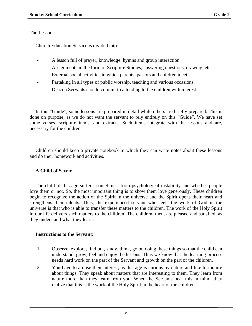#### The Lesson

Church Education Service is divided into:

- A lesson full of prayer, knowledge, hymns and group interaction.
- Assignments in the form of Scripture Studies, answering questions, drawing, etc.
- External social activities in which parents, pastors and children meet.
- Partaking in all types of public worship, teaching and various occasions.
- Deacon Servants should commit to attending to the children with interest.

In this "Guide", some lessons are prepared in detail while others are briefly prepared. This is done on purpose, as we do not want the servant to rely entirely on this "Guide". We have set some verses, scripture items, and extracts. Such items integrate with the lessons and are, necessary for the children.

Children should keep a private notebook in which they can write notes about these lessons and do their homework and activities.

#### **A Child of Seven:**

The child of this age suffers, sometimes, from psychological instability and whether people love them or not. So, the most important thing is to show them love generously. These children begin to recognize the action of the Spirit in the universe and the Spirit opens their heart and strengthens their talents. Thus, the experienced servant who feels the work of God in the universe is that who is able to transfer these matters to the children. The work of the Holy Spirit in our life delivers such matters to the children. The children, then, are pleased and satisfied, as they understand what they learn.

#### **Instructions to the Servant:**

- 1. Observe, explore, find out, study, think, go on doing these things so that the child can understand, grow, feel and enjoy the lessons. Thus we know that the learning process needs hard work on the part of the Servant and growth on the part of the children.
- 2. You have to arouse their interest, as this age is curious by nature and like to inquire about things. They speak about matters that are interesting to them. They learn from nature more than they learn from you. When the Servants bear this in mind, they realize that this is the work of the Holy Spirit in the heart of the children.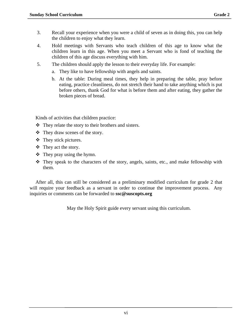- 3. Recall your experience when you were a child of seven as in doing this, you can help the children to enjoy what they learn.
- 4. Hold meetings with Servants who teach children of this age to know what the children learn in this age. When you meet a Servant who is fond of teaching the children of this age discuss everything with him.
- 5. The children should apply the lesson to their everyday life. For example:
	- a. They like to have fellowship with angels and saints.
	- b. At the table: During meal times, they help in preparing the table, pray before eating, practice cleanliness, do not stretch their hand to take anything which is put before others, thank God for what is before them and after eating, they gather the broken pieces of bread.

Kinds of activities that children practice:

- They relate the story to their brothers and sisters.
- They draw scenes of the story.
- They stick pictures.
- $\div$  They act the story.
- $\triangleleft$  They pray using the hymn.
- They speak to the characters of the story, angels, saints, etc., and make fellowship with them.

After all, this can still be considered as a preliminary modified curriculum for grade 2 that will require your feedback as a servant in order to continue the improvement process. Any inquiries or comments can be forwarded to **ssc@suscopts.org**

May the Holy Spirit guide every servant using this curriculum.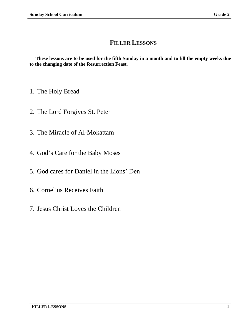## **FILLER LESSONS**

<span id="page-12-0"></span>**These lessons are to be used for the fifth Sunday in a month and to fill the empty weeks due to the changing date of the Resurrection Feast.** 

- 1. The Holy Bread
- 2. The Lord Forgives St. Peter
- 3. The Miracle of Al-Mokattam
- 4. God's Care for the Baby Moses
- 5. God cares for Daniel in the Lions' Den
- 6. Cornelius Receives Faith
- 7. Jesus Christ Loves the Children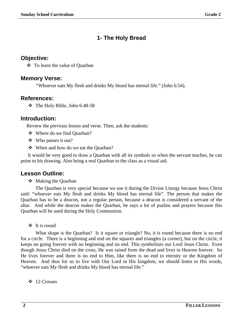## **1- The Holy Bread**

#### <span id="page-13-0"></span>**Objective:**

To learn the value of Quarban

#### **Memory Verse:**

*"*Whoever eats My flesh and drinks My blood has eternal life." (John 6:54).

#### **References:**

 $\div$  The Holy Bible, John 6:48-58

#### **Introduction:**

Review the previous lesson and verse. Then, ask the students:

- Where do we find Quarban?
- Who passes it out?
- ❖ When and how do we eat the Quarban?

It would be very good to draw a Quarban with all its symbols so when the servant teaches, he can point to his drawing. Also bring a real Quarban to the class as a visual aid.

## **Lesson Outline:**

❖ Making the Quarban

The Quarban is very special because we use it during the Divine Liturgy because Jesus Christ said: "whoever eats My flesh and drinks My blood has eternal life". The person that makes the Quarban has to be a deacon, not a regular person, because a deacon is considered a servant of the altar. And while the deacon makes the Quarban, he says a lot of psalms and prayers because this Quarban will be used during the Holy Communion.

It is round

What shape is the Quarban? Is it square or triangle? No, it is round because there is no end for a circle. There is a beginning and end on the squares and triangles (a corner), but on the circle, it keeps on going forever with no beginning and no end. This symbolizes our Lord Jesus Christ. Even though Jesus Christ died on the cross, He was raised from the dead and lives in Heaven forever. So He lives forever and there is no end to Him, like there is no end to eternity or the Kingdom of Heaven. And thus for us to live with Our Lord in His kingdom, we should listen to His words, "whoever eats My flesh and drinks My blood has eternal life."

#### $\div$  12 Crosses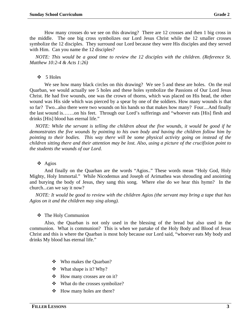How many crosses do we see on this drawing? There are 12 crosses and then 1 big cross in the middle. The one big cross symbolizes our Lord Jesus Christ while the 12 smaller crosses symbolize the 12 disciples. They surround our Lord because they were His disciples and they served with Him. Can you name the 12 disciples?

*NOTE: This would be a good time to review the 12 disciples with the children. (Reference St. Matthew 10:2-4 & Acts 1:26)*

#### $\div$  5 Holes

We see how many black circles on this drawing? We see 5 and these are holes. On the real Quarban, we would actually see 5 holes and these holes symbolize the Passions of Our Lord Jesus Christ. He had five wounds, one was the crown of thorns, which was placed on His head, the other wound was His side which was pierced by a spear by one of the soldiers. How many wounds is that so far? Two...also there were two wounds on his hands so that makes how many? Four....And finally the last wound is…….on his feet. Through our Lord's sufferings and "whoever eats [His] flesh and drinks [His] blood has eternal life."

*NOTE: While the servant is telling the children about the five wounds, it would be good if he demonstrates the five wounds by pointing to his own body and having the children follow him by pointing to their bodies. This way there will be some physical activity going on instead of the children sitting there and their attention may be lost. Also, using a picture of the crucifixion point to the students the wounds of our Lord.*

#### $\triangle$  Agios

And finally on the Quarban are the words "Agios.." These words mean "Holy God, Holy Mighty, Holy Immortal." While Nicodemus and Joseph of Arimathea was shrouding and anointing and burying the body of Jesus, they sang this song. Where else do we hear this hymn? In the church...can we say it now?

*NOTE: It would be good to review with the children Agios (the servant may bring a tape that has Agios on it and the children may sing along).* 

#### The Holy Communion

Also, the Quarban is not only used in the blessing of the bread but also used in the communion. What is communion? This is when we partake of the Holy Body and Blood of Jesus Christ and this is where the Quarban is most holy because our Lord said, "whoever eats My body and drinks My blood has eternal life."

- Who makes the Quarban?
- What shape is it? Why?
- $\triangleleft$  How many crosses are on it?
- What do the crosses symbolize?
- How many holes are there?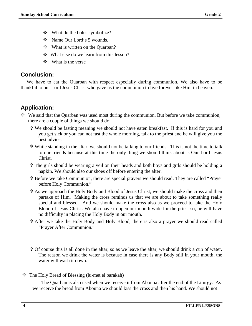- $\bullet$  What do the holes symbolize?
- Name Our Lord's 5 wounds.
- What is written on the Quarban?
- What else do we learn from this lesson?
- $\div$  What is the verse

#### **Conclusion:**

We have to eat the Quarban with respect especially during communion. We also have to be thankful to our Lord Jesus Christ who gave us the communion to live forever like Him in heaven.

#### **Application:**

- We said that the Quarban was used most during the communion. But before we take communion, there are a couple of things we should do:
	- = We should be fasting meaning we should not have eaten breakfast. If this is hard for you and you get sick or you can not fast the whole morning, talk to the priest and he will give you the best advice.
	- = While standing in the altar, we should not be talking to our friends. This is not the time to talk to our friends because at this time the only thing we should think about is Our Lord Jesus Christ.
	- = The girls should be wearing a veil on their heads and both boys and girls should be holding a napkin. We should also our shoes off before entering the alter.
	- = Before we take Communion, there are special prayers we should read. They are called "Prayer before Holy Communion."
	- = As we approach the Holy Body and Blood of Jesus Christ, we should make the cross and then partake of Him. Making the cross reminds us that we are about to take something really special and blessed. And we should make the cross also as we proceed to take the Holy Blood of Jesus Christ. We also have to open our mouth wide for the priest so, he will have no difficulty in placing the Holy Body in our mouth.
	- = After we take the Holy Body and Holy Blood, there is also a prayer we should read called "Prayer After Communion."
	- = Of course this is all done in the altar, so as we leave the altar, we should drink a cup of water. The reason we drink the water is because in case there is any Body still in your mouth, the water will wash it down.
- The Holy Bread of Blessing (lu-met el barakah)

The Quarban is also used when we receive it from Abouna after the end of the Liturgy. As we receive the bread from Abouna we should kiss the cross and then his hand. We should not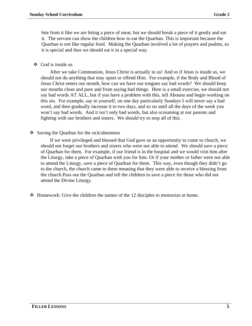bite from it like we are biting a piece of meat, but we should break a piece of it gently and eat it. The servant can show the children how to eat the Quarban. This is important because the Quarban is not like regular food. Making the Quarban involved a lot of prayers and psalms, so it is special and thus we should eat it in a special way.

#### $\div$  God is inside us

After we take Communion, Jesus Christ is actually in us! And so if Jesus is inside us, we should not do anything that may upset or offend Him. For example, if the Body and Blood of Jesus Christ enters our mouth, how can we have our tongues say bad words? We should keep our mouths clean and pure and from saying bad things. Here is a small exercise, we should not say bad words AT ALL, but if you have a problem with this, tell Abouna and begin working on this sin. For example, say to yourself, on one day particularly Sundays I will never say a bad word, and then gradually increase it to two days, and so on until all the days of the week you won't say bad words. And it isn't only bad words, but also screaming at our parents and fighting with our brothers and sisters. We should try to stop all of this.

#### $\triangleleft$  Saving the Quarban for the sick/absentees

If we were privileged and blessed that God gave us an opportunity to come to church, we should not forget our brothers and sisters who were not able to attend. We should save a piece of Quarban for them. For example, if our friend is in the hospital and we would visit him after the Liturgy, take a piece of Quarban with you for him. Or if your mother or father were not able to attend the Liturgy, save a piece of Quarban for them. This way, even though they didn't go to the church, the church came to them meaning that they were able to receive a blessing from the church.Pass out the Quarban and tell the children to save a piece for those who did not attend the Divine Liturgy.

 $\triangleleft$  Homework: Give the children the names of the 12 disciples to memorize at home.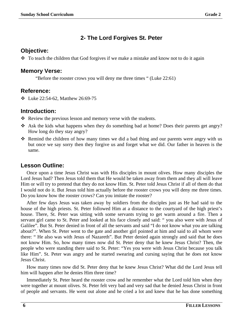## **2- The Lord Forgives St. Peter**

#### <span id="page-17-0"></span>**Objective:**

 $\bullet$  To teach the children that God forgives if we make a mistake and know not to do it again

#### **Memory Verse:**

"Before the rooster crows you will deny me three times " (Luke 22:61)

#### **Reference:**

Luke 22:54-62, Matthew 26:69-75

#### **Introduction:**

- \* Review the previous lesson and memory verse with the students.
- Ask the kids what happens when they do something bad at home? Does their parents get angry? How long do they stay angry?
- Remind the children of how many times we did a bad thing and our parents were angry with us but once we say sorry then they forgive us and forget what we did. Our father in heaven is the same.

## **Lesson Outline:**

Once upon a time Jesus Christ was with His disciples in mount olives. How many disciples the Lord Jesus had? Then Jesus told them that He would be taken away from them and they all will leave Him or will try to pretend that they do not know Him. St. Peter told Jesus Christ if all of them do that I would not do it. But Jesus told him actually before the rooster crows you will deny me three times. Do you know how the rooster crows? Can you imitate the rooster?

After few days Jesus was taken away by soldiers from the disciples just as He had said to the house of the high priests. St. Peter followed Him at a distance to the courtyard of the high priest's house. There, St. Peter was sitting with some servants trying to get warm around a fire. Then a servant girl came to St. Peter and looked at his face closely and said: " you also were with Jesus of Galilee". But St. Peter denied in front of all the servants and said "I do not know what you are talking about?". When St. Peter went to the gate and another girl pointed at him and said to all whom were there: " He also was with Jesus of Nazareth". But Peter denied again strongly and said that he does not know Him. So, how many times now did St. Peter deny that he knew Jesus Christ? Then, the people who were standing there said to St. Peter: "Yes you were with Jesus Christ because you talk like Him". St. Peter was angry and he started swearing and cursing saying that he does not know Jesus Christ.

How many times now did St. Peter deny that he knew Jesus Christ? What did the Lord Jesus tell him will happen after he denies Him three time?

Immediately St. Peter heard the rooster crow and he remember what the Lord told him when they were together at mount olives. St. Peter felt very bad and very sad that he denied Jesus Christ in front of people and servants. He went out alone and he cried a lot and knew that he has done something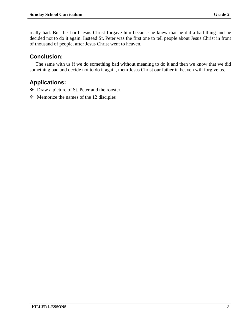really bad. But the Lord Jesus Christ forgave him because he knew that he did a bad thing and he decided not to do it again. Instead St. Peter was the first one to tell people about Jesus Christ in front of thousand of people, after Jesus Christ went to heaven.

#### **Conclusion:**

The same with us if we do something bad without meaning to do it and then we know that we did something bad and decide not to do it again, them Jesus Christ our father in heaven will forgive us.

## **Applications:**

- Draw a picture of St. Peter and the rooster.
- $\triangleleft$  Memorize the names of the 12 disciples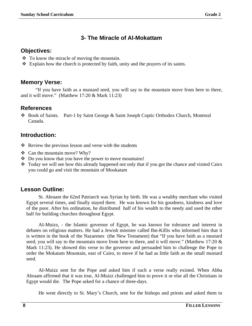## **3- The Miracle of Al-Mokattam**

#### <span id="page-19-0"></span>**Objectives:**

- $\cdot \cdot$  To know the miracle of moving the mountain.
- Explain how the church is protected by faith, unity and the prayers of its saints.

#### **Memory Verse:**

"If you have faith as a mustard seed, you will say to the mountain move from here to there, and it will move." (Matthew 17:20 & Mark 11:23)

#### **References**

 Book of Saints. Part-1 by Saint George & Saint Joseph Coptic Orthodox Church, Montreal Canada.

## **Introduction:**

- $\triangle$  Review the previous lesson and verse with the students
- $\triangleleft$  Can the mountain move? Why?
- ❖ Do you know that you have the power to move mountains!
- \* Today we will see how this already happened not only that if you got the chance and visited Cairo you could go and visit the mountain of Mookatam

## **Lesson Outline:**

St. Abraam the 62nd Patriarch was Syrian by birth. He was a wealthy merchant who visited Egypt several times, and finally stayed there. He was known for his goodness, kindness and love of the poor. After his ordination, he distributed half of his wealth to the needy and used the other half for building churches throughout Egypt.

AI-Muizz, - the Islamic governor of Egypt, he was known for tolerance and interest in debates on religious matters. He had a Jewish minister called Ibn-Killis who informed him that it is written in the book of the Nazarenes (the New Testament) that "If you have faith as a mustard seed, you will say to the mountain move from here to there, and it will move." (Matthew 17:20 & Mark 11:23). He showed this verse to the governor and persuaded him to challenge the Pope to order the Mokatam Mountain, east of Cairo, to move if he had as little faith as the small mustard seed.

AI-Muizz sent for the Pope and asked him if such a verse really existed. When Abba Abraam affirmed that it was true, Al-Muizz challenged him to prove it or else all the Christians in Egypt would die. The Pope asked for a chance of three-days.

He went directly to St. Mary's Church, sent for the bishops and priests and asked them to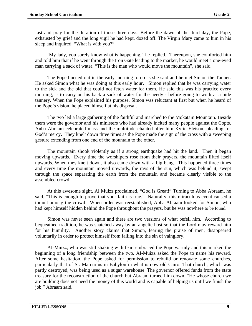fast and pray for the duration of those three days. Before the dawn of the third day, the Pope, exhausted by grief and the long vigil he had kept, dozed off. The Virgin Mary came to him in his sleep and inquired: "What is with you?"

'My lady, you surely know what is happening," he replied. Thereupon, she comforted him and told him that if he went through the Iron Gate leading to the market, he would meet a one-eyed man carrying a sack of water. "This is the man who would move the mountain", she said.

The Pope hurried out in the early morning to do as she said and he met Simon the Tanner. He asked Simon what he was doing at this early hour. Simon replied that he was carrying water to the sick and the old that could not fetch water for them. He said this was his practice every morning, - to carry on his back a sack of water for the needy - before going to work at a hide tannery. When the Pope explained his purpose, Simon was reluctant at first but when he heard of the Pope's vision, he placed himself at his disposal.

The two led a large gathering of the faithful and marched to the Mokatam Mountain. Beside them were the governor and his ministers who had already incited many people against the Copts. Anba Abraam celebrated mass and the multitude chanted after him Kyrie Eleison, pleading for God's mercy. They knelt down three times as the Pope made the sign of the cross with a sweeping gesture extending from one end of the mountain to the other.

The mountain shook violently as if a strong earthquake had hit the land. Then it began moving upwards. Every time the worshipers rose from their prayers, the mountain lifted itself upwards. When they knelt down, it also came down with a big bang. This happened three times and every time the mountain moved upwards, the rays of the sun, which was behind it, swept through the space separating the earth from the mountain and became clearly visible to the assembled crowd.

At this awesome sight, Al Muizz proclaimed, "God is Great!" Turning to Abba Abraam, he said, "This is enough to prove that your faith is true." Naturally, this miraculous event caused a tumult among the crowd. When order was reestablished, Abba Abraam looked for Simon, who had kept himself hidden behind the Pope throughout the prayers, but he was nowhere to be found.

Simon was never seen again and there are two versions of what befell him. According to bequeathed tradition, he was snatched away by an angelic host so that the Lord may reward him for his humility. Another story claims that Simon, fearing the praise of men, disappeared voluntarily in order to protect himself from falling into the sin of vainglory.

AI-Muizz, who was still shaking with fear, embraced the Pope warmly and this marked the beginning of a long friendship between the two. AI-Muizz asked the Pope to name his reward. After some hesitation, the Pope asked for permission to rebuild or renovate some churches, particularly that of St. Marcurius in Babylon in what is now old Cairo. That church, which was partly destroyed, was being used as a sugar warehouse. The governor offered funds from the state treasury for the reconstruction of the church but Abraam turned him down. "He whose church we are building does not need the money of this world and is capable of helping us until we finish the job," Abraam said.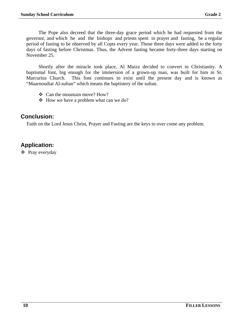The Pope also decreed that the three-day grace period which he had requested from the governor, and which he and the bishops and priests spent in prayer and fasting, be a regular period of fasting to be observed by all Copts every year. Those three days were added to the forty days of fasting before Christmas. Thus, the Advent fasting became forty-three days starting on November 25.

Shortly after the miracle took place, Al Muizz decided to convert to Christianity. A baptismal font, big enough for the immersion of a grown-up man, was built for him in St. Marcurius Church. This font continues to exist until the present day and is known as "Maarnoudiat Al-sultan" which means the baptistery of the sultan.

- Can the mountain move? How?
- How we have a problem what can we do?

#### **Conclusion:**

Faith on the Lord Jesus Christ, Prayer and Fasting are the keys to over come any problem.

#### **Application:**

Pray everyday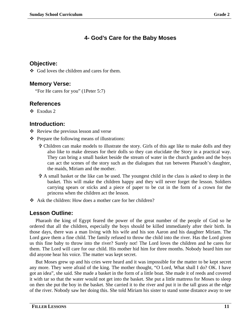## **4- God's Care for the Baby Moses**

#### <span id="page-22-0"></span>**Objective:**

God loves the children and cares for them.

#### **Memory Verse:**

"For He cares for you" (1Peter 5:7)

#### **References**

Exodus 2

#### **Introduction:**

 $\triangleleft$  Review the previous lesson and verse

- $\triangle$  Prepare the following means of illustrations:
	- = Children can make models to illustrate the story. Girls of this age like to make dolls and they also like to make dresses for their dolls so they can elucidate the Story in a practical way. They can bring a small basket beside the stream of water in the church garden and the boys can act the scenes of the story such as the dialogues that ran between Pharaoh's daughter, the maids, Miriam and the mother.
	- = A small basket or the like can be used. The youngest child in the class is asked to sleep in the basket. This will make the children happy and they will never forget the lesson. Soldiers carrying spears or sticks and a piece of paper to be cut in the form of a crown for the princess when the children act the lesson.
- Ask the children: How does a mother care for her children?

#### **Lesson Outline:**

Pharaoh the king of Egypt feared the power of the great number of the people of God so he ordered that all the children, especially the boys should be killed immediately after their birth. In those days, there was a man living with his wife and his son Aaron and his daughter Miriam. The Lord gave them a fine child. The family refused to throw the child into the river. Has the Lord given us this fine baby to throw into the river? Surely not! The Lord loves the children and he cares for them. The Lord will care for our child. His mother hid him for three months. Nobody heard him nor did anyone hear his voice. The matter was kept secret.

But Moses grew up and his cries were heard and it was impossible for the matter to be kept secret any more. They were afraid of the king. The mother thought, "O Lord, What shall I do? OK. I have got an idea", she said. She made a basket in the form of a little boat. She made it of reeds and covered it with tar so that the water would not get into the basket. She put a little mattress for Moses to sleep on then she put the boy in the basket. She carried it to the river and put it in the tall grass at the edge of the river. Nobody saw her doing this. She told Miriam his sister to stand some distance away to see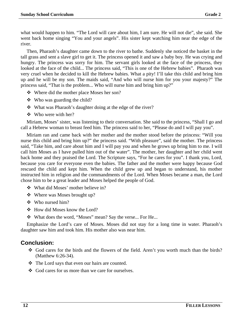what would happen to him. "The Lord will care about him, I am sure. He will not die", she said. She went back home singing "You and your angels". His sister kept watching him near the edge of the river.

Then, Pharaoh's daughter came down to the river to bathe. Suddenly she noticed the basket in the tall grass and sent a slave girl to get it. The princess opened it and saw a baby boy. He was crying and hungry. The princess was sorry for him. The servant girls looked at the face of the princess, they looked at the face of the child... The princess said, "This is one of the Hebrew babies". Pharaoh was very cruel when he decided to kill the Hebrew babies. What a pity! I'll take this child and bring him up and he will be my son. The maids said, "And who will nurse him for you your majesty?" The princess said, "That is the problem... Who will nurse him and bring him up?"

- Where did the mother place Moses her son?
- $\triangleleft$  Who was guarding the child?
- What was Pharaoh's daughter doing at the edge of the river?
- ❖ Who were with her?

Miriam, Moses' sister, was listening to their conversation. She said to the princess, "Shall I go and call a Hebrew woman to breast feed him. The princess said to her, "Please do and I will pay you".

Miriam ran and came back with her mother and the mother stood before the princess: "Will you nurse this child and bring him up?" the princess said. "With pleasure", said the mother. The princess said, "Take him, and care about him and I will pay you and when he grows up bring him to me. I will call him Moses as I have pulled him out of the water". The mother, her daughter and her child went back home and they praised the Lord. The Scripture says, "For he cares for you". I thank you, Lord, because you care for everyone even the babies. The father and the mother were happy because God rescued the child and kept him. When the child grew up and began to understand, his mother instructed him in religion and the commandments of the Lord. When Moses became a man, the Lord chose him to be a great leader and Moses helped the people of God.

- What did Moses' mother believe in?
- Where was Moses brought up?
- Who nursed him?
- ❖ How did Moses know the Lord?
- \* What does the word, "Moses" mean? Say the verse... For He...

Emphasize the Lord's care of Moses. Moses did not stay for a long time in water. Pharaoh's daughter saw him and took him. His mother also was near him.

## **Conclusion:**

- God cares for the birds and the flowers of the field. Aren't you worth much than the birds? (Matthew 6:26-34).
- ❖ The Lord says that even our hairs are counted.
- God cares for us more than we care for ourselves.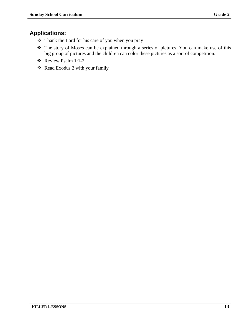## **Applications:**

- Thank the Lord for his care of you when you pray
- The story of Moses can be explained through a series of pictures. You can make use of this big group of pictures and the children can color these pictures as a sort of competition.
- Review Psalm 1:1-2
- Read Exodus 2 with your family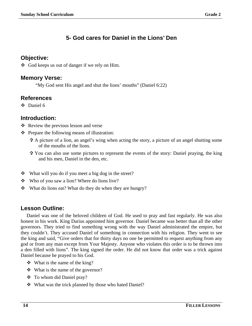## **5- God cares for Daniel in the Lions' Den**

#### <span id="page-25-0"></span>**Objective:**

God keeps us out of danger if we rely on Him.

#### **Memory Verse:**

"My God sent His angel and shut the lions' mouths" (Daniel 6:22)

#### **References**

Daniel 6

#### **Introduction:**

- ❖ Review the previous lesson and verse
- $\triangleleft$  Prepare the following means of illustration:
	- = A picture of a lion, an angel's wing when acting the story, a picture of an angel shutting some of the mouths of the lions.
	- = You can also use some pictures to represent the events of the story: Daniel praying, the king and his men, Daniel in the den, etc.
- $\bullet\bullet\text{ What will you do if you meet a big dog in the street?}$
- Who of you saw a lion? Where do lions live?
- What do lions eat? What do they do when they are hungry?

#### **Lesson Outline:**

Daniel was one of the beloved children of God. He used to pray and fast regularly. He was also honest in his work. King Darius appointed him governor. Daniel became was better than all the other governors. They tried to find something wrong with the way Daniel administrated the empire, but they couldn't. They accused Daniel of something in connection with his religion. They went to see the king and said, "Give orders that for thirty days no one be permitted to request anything from any god or from any man except from Your Majesty. Anyone who violates this order is to be thrown into a den filled with lions". The king signed the order. He did not know that order was a trick against Daniel because he prayed to his God.

- $\bullet\bullet$  What is the name of the king?
- $\triangleleft$  What is the name of the governor?
- To whom did Daniel pray?
- ❖ What was the trick planned by those who hated Daniel?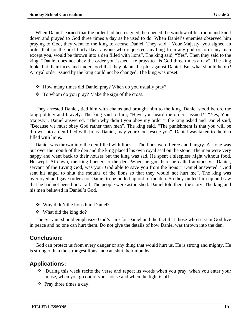When Daniel learned that the order had been signed, he opened the window of his room and knelt down and prayed to God three times a day as he used to do. When Daniel's enemies observed him praying to God, they went to the king to accuse Daniel. They said, "Your Majesty, you signed an order that for the next thirty days anyone who requested anything from any god or form any man except you, would be thrown into a den filled with lions". The king said, "Yes". Then they said to the king, "Daniel does not obey the order you issued. He prays to his God three times a day". The king looked at their faces and understood that they planned a plot against Daniel. But what should he do? A royal order issued by the king could not be changed. The king was upset.

- $\triangleleft$  How many times did Daniel pray? When do you usually pray?
- $\bullet$  To whom do you pray? Make the sign of the cross.

They arrested Daniel, tied him with chains and brought him to the king. Daniel stood before the king politely and bravely. The king said to him, "Have you heard the order I issued?" "Yes, Your Majesty", Daniel answered. "Then why didn't you obey my order?" the king asked and Daniel said, "Because we must obey God rather than men". The king said, "The punishment is that you will be thrown into a den filled with lions. Daniel, may your God rescue you". Daniel was taken to the den filled with lions.

Daniel was thrown into the den filled with lions… The lions were fierce and hungry. A stone was put over the mouth of the den and the king placed his own royal seal on the stone. The men were very happy and went back to their houses but the king was sad. He spent a sleepless night without food. He wept. At dawn, the king hurried to the den. When he got there he called anxiously, "Daniel, servant of the Living God, was your God able to save you from the lions?" Daniel answered, "God sent his angel to shut the mouths of the lions so that they would not hurt me". The king was overjoyed and gave orders for Daniel to be pulled up out of the den. So they pulled him up and saw that he had not been hurt at all. The people were astonished. Daniel told them the story. The king and his men believed in Daniel's God.

- Why didn't the lions hurt Daniel?
- What did the king do?

The Servant should emphasize God's care for Daniel and the fact that those who trust in God live in peace and no one can hurt them. Do not give the details of how Daniel was thrown into the den.

#### **Conclusion:**

God can protect us from every danger or any thing that would hurt us. He is strong and mighty, He is stronger than the strongest lions and can shut their mouths.

#### **Applications:**

- $\bullet$  During this week recite the verse and repeat its words when you pray, when you enter your house, when you go out of your house and when the light is off.
- $\triangleleft$  Pray three times a day.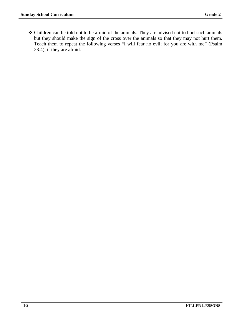Children can be told not to be afraid of the animals. They are advised not to hurt such animals but they should make the sign of the cross over the animals so that they may not hurt them. Teach them to repeat the following verses "I will fear no evil; for you are with me" (Psalm 23:4), if they are afraid.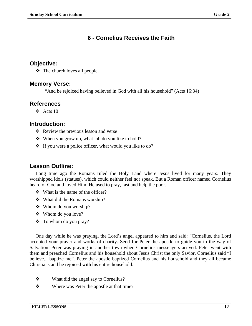## **6 - Cornelius Receives the Faith**

#### <span id="page-28-0"></span>**Objective:**

 $\triangleleft$  The church loves all people.

#### **Memory Verse:**

*"*And be rejoiced having believed in God with all his household" (Acts 16:34)

#### **References**

 $\div$  Acts 10

#### **Introduction:**

- ❖ Review the previous lesson and verse
- When you grow up, what job do you like to hold?
- $\cdot \cdot$  If you were a police officer, what would you like to do?

#### **Lesson Outline:**

Long time ago the Romans ruled the Holy Land where Jesus lived for many years. They worshipped idols (statues), which could neither feel nor speak. But a Roman officer named Cornelius heard of God and loved Him. He used to pray, fast and help the poor.

- What is the name of the officer?
- What did the Romans worship?
- Whom do you worship?
- Whom do you love?
- To whom do you pray?

One day while he was praying, the Lord's angel appeared to him and said: "Cornelius, the Lord accepted your prayer and works of charity. Send for Peter the apostle to guide you to the way of Salvation. Peter was praying in another town when Cornelius messengers arrived. Peter went with them and preached Cornelius and his household about Jesus Christ the only Savior. Cornelius said "I believe... baptize me". Peter the apostle baptized Cornelius and his household and they all became Christians and he rejoiced with his entire household.

- What did the angel say to Cornelius?
- ❖ Where was Peter the apostle at that time?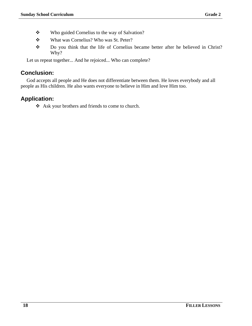- \* Who guided Cornelius to the way of Salvation?
- What was Cornelius? Who was St. Peter?
- \* Do you think that the life of Cornelius became better after he believed in Christ? Why?

Let us repeat together... And he rejoiced... Who can complete?

#### **Conclusion:**

God accepts all people and He does not differentiate between them. He loves everybody and all people as His children. He also wants everyone to believe in Him and love Him too.

## **Application:**

Ask your brothers and friends to come to church.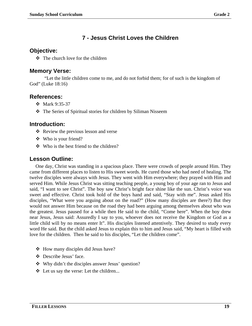## **7 - Jesus Christ Loves the Children**

#### <span id="page-30-0"></span>**Objective:**

 $\triangle$  The church love for the children

#### **Memory Verse:**

"Let the little children come to me, and do not forbid them; for of such is the kingdom of God" (Luke 18:16)

#### **References:**

- Mark 9:35-37
- The Series of Spiritual stories for children by Siliman Nisseem

#### **Introduction:**

- $\triangleleft$  Review the previous lesson and verse
- Who is your friend?
- Who is the best friend to the children?

#### **Lesson Outline:**

One day, Christ was standing in a spacious place. There were crowds of people around Him. They came from different places to listen to His sweet words. He cured those who had need of healing. The twelve disciples were always with Jesus. They went with Him everywhere; they prayed with Him and served Him. While Jesus Christ was sitting teaching people, a young boy of your age ran to Jesus and said, "I want to see Christ". The boy saw Christ's bright face shine like the sun. Christ's voice was sweet and effective. Christ took hold of the boys hand and said, "Stay with me". Jesus asked His disciples, "What were you arguing about on the road?" (How many disciples are there?) But they would not answer Him because on the road they had been arguing among themselves about who was the greatest. Jesus paused for a while then He said to the child, "Come here". When the boy drew near Jesus, Jesus said: Assuredly I say to you, whoever does not receive the Kingdom or God as a little child will by no means enter It". His disciples listened attentively. They desired to study every word He said. But the child asked Jesus to explain this to him and Jesus said, "My heart is filled with love for the children. Then he said to his disciples, "Let the children come".

- $\triangleleft$  How many disciples did Jesus have?
- Describe Jesus' face.
- Why didn't the disciples answer Jesus' question?
- Let us say the verse: Let the children...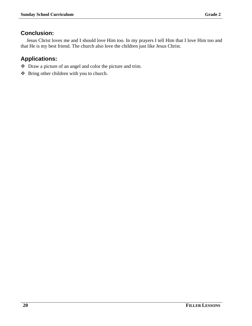#### **Conclusion:**

Jesus Christ loves me and I should love Him too. In my prayers I tell Him that I love Him too and that He is my best friend. The church also love the children just like Jesus Christ.

## **Applications:**

- Draw a picture of an angel and color the picture and trim.
- Bring other children with you to church.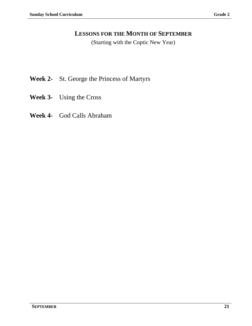## <span id="page-32-0"></span>**LESSONS FOR THE MONTH OF SEPTEMBER**

(Starting with the Coptic New Year)

- **Week 2-** St. George the Princess of Martyrs
- **Week 3-** Using the Cross
- **Week 4-** God Calls Abraham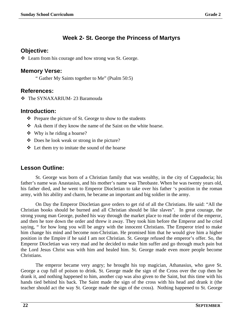## **Week 2- St. George the Princess of Martyrs**

#### <span id="page-33-0"></span>**Objective:**

Learn from his courage and how strong was St. George.

#### **Memory Verse:**

" Gather My Saints together to Me" (Psalm 50:5)

#### **References:**

The SYNAXARIUM- 23 Baramouda

#### **Introduction:**

- Prepare the picture of St. George to show to the students
- $\triangleleft$  Ask them if they know the name of the Saint on the white hoarse.
- Why is he riding a hoarse?
- Does he look weak or strong in the picture?
- $\triangle$  Let them try to imitate the sound of the hoarse

#### **Lesson Outline:**

St. George was born of a Christian family that was wealthy, in the city of Cappadocia; his father's name was Anastasius, and his mother's name was Theobaste. When he was twenty years old, his father died, and he went to Emperor Diocletian to take over his father 's position in the roman army, with his ability and charm, he became an important and big soldier in the army.

On Day the Emperor Diocletian gave orders to get rid of all the Christians. He said: "All the Christian books should be burned and all Christian should be like slaves". In great courage, the strong young man George, pushed his way through the market place to read the order of the emperor, and then he tore down the order and threw it away. They took him before the Emperor and he cried saying, " for how long you will be angry with the innocent Christians. The Emperor tried to make him change his mind and become non-Christian. He promised him that he would give him a higher position in the Empire if he said I am not Christian. St. George refused the emperor's offer. So, the Emperor Diocletian was very mad and he decided to make him suffer and go through much pain but the Lord Jesus Christ was with him and healed him. St. George made even more people become Christians.

The emperor became very angry; he brought his top magician, Athanasius, who gave St. George a cup full of poison to drink. St. George made the sign of the Cross over the cup then he drank it, and nothing happened to him, another cup was also given to the Saint, but this time with his hands tied behind his back. The Saint made the sign of the cross with his head and drank it (the teacher should act the way St. George made the sign of the cross). Nothing happened to St. George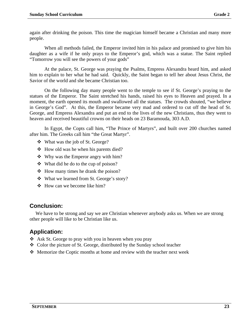again after drinking the poison. This time the magician himself became a Christian and many more people.

When all methods failed, the Emperor invited him in his palace and promised to give him his daughter as a wife if he only prays to the Emperor's god, which was a statue. The Saint replied "Tomorrow you will see the powers of your gods"

At the palace, St. George was praying the Psalms, Empress Alexandra heard him, and asked him to explain to her what he had said. Quickly, the Saint began to tell her about Jesus Christ, the Savior of the world and she became Christian too.

On the following day many people went to the temple to see if St. George's praying to the statues of the Emperor. The Saint stretched his hands, raised his eyes to Heaven and prayed. In a moment, the earth opened its mouth and swallowed all the statues. The crowds shouted, "we believe in George's God". At this, the Emperor became very mad and ordered to cut off the head of St. George, and Empress Alexandra and put an end to the lives of the new Christians, thus they went to heaven and received beautiful crowns on their heads on 23 Baramouda, 303 A.D.

In Egypt, the Copts call him, "The Prince of Martyrs", and built over 200 churches named after him. The Greeks call him "the Great Martyr".

- What was the job of St. George?
- How old was he when his parents died?
- **❖** Why was the Emperor angry with him?
- What did he do to the cup of poison?
- $\triangleleft$  How many times he drank the poison?
- What we learned from St. George's story?
- How can we become like him?

#### **Conclusion:**

We have to be strong and say we are Christian whenever anybody asks us. When we are strong other people will like to be Christian like us.

#### **Application:**

- ❖ Ask St. George to pray with you in heaven when you pray
- Color the picture of St. George, distributed by the Sunday school teacher
- Memorize the Coptic months at home and review with the teacher next week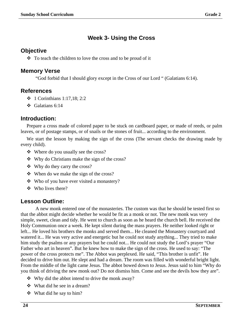## **Week 3- Using the Cross**

#### <span id="page-35-0"></span>**Objective**

To teach the children to love the cross and to be proud of it

#### **Memory Verse**

"God forbid that I should glory except in the Cross of our Lord " (Galatians 6:14).

## **References**

- $\div$  1 Corinthians 1:17,18; 2:2
- Galatians 6:14

## **Introduction:**

Prepare a cross made of colored paper to be stuck on cardboard paper, or made of reeds, or palm leaves, or of postage stamps, or of snails or the stones of fruit... according to the environment.

We start the lesson by making the sign of the cross (The servant checks the drawing made by every child).

- Where do you usually see the cross?
- Why do Christians make the sign of the cross?
- Why do they carry the cross?
- When do we make the sign of the cross?
- Who of you have ever visited a monastery?
- $\div$  Who lives there?

## **Lesson Outline:**

A new monk entered one of the monasteries. The custom was that he should be tested first so that the abbot might decide whether he would be fit as a monk or not. The new monk was very simple, sweet, clean and tidy. He went to church as soon as he heard the church bell. He received the Holy Communion once a week. He kept silent during the mass prayers. He neither looked right or left... He loved his brothers the monks and served them... He cleaned the Monastery courtyard and watered it... He was very active and energetic but he could not study anything... They tried to make him study the psalms or any prayers but he could not... He could not study the Lord's prayer "Our Father who art in heaven". But he knew how to make the sign of the cross. He used to say: "The power of the cross protects me". The Abbot was perplexed. He said, "This brother is unfit". He decided to drive him out. He slept and had a dream. The room was filled with wonderful bright light. From the middle of the light came Jesus. The abbot bowed down to Jesus. Jesus said to him "Why do you think of driving the new monk out? Do not dismiss him. Come and see the devils how they are".

- Why did the abbot intend to drive the monk away?
- What did he see in a dream?
- $\triangleleft$  What did he say to him?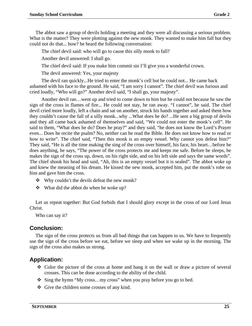The abbot saw a group of devils holding a meeting and they were all discussing a serious problem. What is the matter? They were plotting against the new monk. They wanted to make him fall but they could not do that... how? he heard the following conversation:

The chief devil said: who will go to cause this silly monk to fall?

Another devil answered: I shall go.

The chief devil said: If you make him commit sin I'll give you a wonderful crown.

The devil answered: Yes, your majesty

The devil ran quickly...He tried to enter the monk's cell but he could not... He came back ashamed with his face to the ground. He said, "I am sorry I cannot". The chief devil was furious and cried loudly, "Who will go?" Another devil said, "I shall go, your majesty".

Another devil ran…went up and tried to come down to him but he could not because he saw the sign of the cross in flames of fire... He could not stay, he ran away. "I cannot", he said. The chief devil cried more loudly, left a chain and sat on another, struck his hands together and asked them how they couldn't cause the fall of a silly monk...why ...What does he do? ...He sent a big group of devils and they all came back ashamed of themselves and said, "We could not enter the monk's cell". He said to them, "What does he do? Does he pray?" and they said, "he does not know the Lord's Prayer even... Does he recite the psalm? No, neither can he read the Bible. He does not know how to read or how to write". The chief said, "Then this monk is an empty vessel. Why cannot you defeat him?" They said, "He is all the time making the sing of the cross over himself, his face, his heart…before he does anything, he says, "The power of the cross protects me and keeps me safe. Before he sleeps, he makes the sign of the cross up, down, on his right side, and on his left side and says the same words". The chief shook his head and said, "Ah, this is an empty vessel but it is sealed". The abbot woke up and knew the meaning of his dream. He kissed the new monk, accepted him, put the monk's robe on him and gave him the cross.

- Why couldn't the devils defeat the new monk?
- What did the abbot do when he woke up?

Let us repeat together: But God forbids that I should glory except in the cross of our Lord Jesus Christ.

Who can say it?

## **Conclusion:**

The sign of the cross protects us from all bad things that can happen to us. We have to frequently use the sign of the cross before we eat, before we sleep and when we wake up in the morning. The sign of the cross also makes us strong.

- Color the picture of the cross at home and hang it on the wall or draw a picture of several crosses. This can be done according to the ability of the child.
- Sing the hymn "My cross…my cross" when you pray before you go to bed.
- Give the children some crosses of any kind.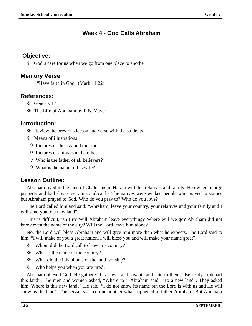## **Week 4 - God Calls Abraham**

## **Objective:**

❖ God's care for us when we go from one place to another

### **Memory Verse:**

"Have faith in God" (Mark 11:22)

## **References:**

- Genesis 12
- The Life of Abraham by F.B. Mayer

## **Introduction:**

- $\triangle$  Review the previous lesson and verse with the students
- Means of illustrations
- = Pictures of the sky and the stars
- = Pictures of animals and clothes
- = Who is the father of all believers?
- $\mathbf{\hat{v}}$  What is the name of his wife?

## **Lesson Outline:**

Abraham lived in the land of Chaldeans in Haram with his relatives and family. He owned a large property and had slaves, servants and cattle. The natives were wicked people who prayed to statues but Abraham prayed to God. Who do you pray to? Who do you love?

The Lord called him and said: "Abraham, leave your country, your relatives and your family and I will send you to a new land".

This is difficult, isn't it? Will Abraham leave everything? Where will we go? Abraham did not know even the name of the city? Will the Lord leave him alone?

No, the Lord will bless Abraham and will give him more than what he expects. The Lord said to him, "I will make of you a great nation, I will bless you and will make your name great".

- Whom did the Lord call to leave his country?
- $\bullet\bullet\quad$  What is the name of the country?
- What did the inhabitants of the land worship?
- ❖ Who helps you when you are tired?

Abraham obeyed God. He gathered his slaves and savants and said to them, "Be ready to depart this land". The men and women asked, "Where to?" Abraham said, "To a new land". They asked him, Where is this new land?" He said, "I do not know its name but the Lord is with us and He will show us the land". The servants asked one another what happened to father Abraham. But Abraham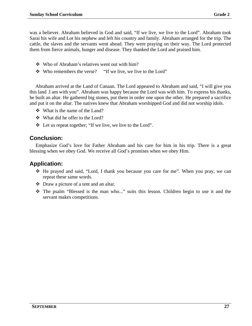was a believer. Abraham believed in God and said, "If we live, we live to the Lord". Abraham took Sarai his wife and Lot his nephew and left his country and family. Abraham arranged for the trip. The cattle, the slaves and the servants went ahead. They were praying on their way. The Lord protected them from fierce animals, hunger and disease. They thanked the Lord and praised him.

- Who of Abraham's relatives went out with him?
- Who remembers the verse? "If we live, we live to the Lord"

Abraham arrived at the Land of Canaan. The Lord appeared to Abraham and said, "I will give you this land .I am with you". Abraham was happy because the Lord was with him. To express his thanks, he built an altar. He gathered big stones, put them in order one upon the other. He prepared a sacrifice and put it on the altar. The natives knew that Abraham worshipped God and did not worship idols.

- What is the name of the Land?
- What did he offer to the Lord?
- Let us repeat together; "If we live, we live to the Lord".

## **Conclusion:**

Emphasize God's love for Father Abraham and his care for him in his trip. There is a great blessing when we obey God. We receive all God's promises when we obey Him.

- $\div$  He prayed and said, "Lord, I thank you because you care for me". When you pray, we can repeat these same words.
- Draw a picture of a tent and an altar.
- The psalm "Blessed is the man who..." suits this lesson. Children begin to use it and the servant makes competitions.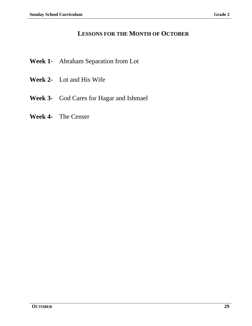# **LESSONS FOR THE MONTH OF OCTOBER**

- **Week 1-** Abraham Separation from Lot
- **Week 2-** Lot and His Wife
- **Week 3-** God Cares for Hagar and Ishmael
- **Week 4-** The Censer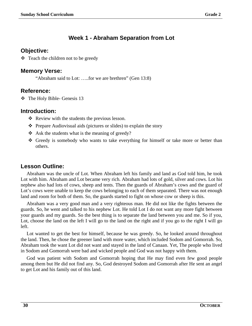# **Week 1 - Abraham Separation from Lot**

### **Objective:**

❖ Teach the children not to be greedy

### **Memory Verse:**

"Abraham said to Lot: …..for we are brethren" (Gen 13:8)

## **Reference:**

The Holy Bible- Genesis 13

### **Introduction:**

- $\triangleleft$  Review with the students the previous lesson.
- $\triangle$  Prepare Audiovisual aids (pictures or slides) to explain the story
- $\triangleleft$  Ask the students what is the meaning of greedy?
- Greedy is somebody who wants to take everything for himself or take more or better than others.

# **Lesson Outline:**

Abraham was the uncle of Lot. When Abraham left his family and land as God told him, he took Lot with him. Abraham and Lot became very rich. Abraham had lots of gold, silver and cows. Lot his nephew also had lots of cows, sheep and tents. Then the guards of Abraham's cows and the guard of Lot's cows were unable to keep the cows belonging to each of them separated. There was not enough land and room for both of them. So, the guards started to fight on whose cow or sheep is this.

Abraham was a very good man and a very righteous man. He did not like the fights between the guards. So, he went and talked to his nephew Lot. He told Lot I do not want any more fight between your guards and my guards. So the best thing is to separate the land between you and me. So if you, Lot, choose the land on the left I will go to the land on the right and if you go to the right I will go left.

Lot wanted to get the best for himself, because he was greedy. So, he looked around throughout the land. Then, he chose the greener land with more water, which included Sodom and Gomorrah. So, Abraham took the want Lot did not want and stayed in the land of Canaan. Yet, The people who lived in Sodom and Gomorrah were bad and wicked people and God was not happy with them.

God was patient with Sodom and Gomorrah hoping that He may find even few good people among them but He did not find any. So, God destroyed Sodom and Gomorrah after He sent an angel to get Lot and his family out of this land.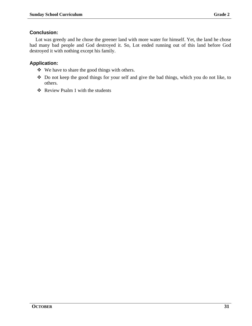#### **Conclusion:**

Lot was greedy and he chose the greener land with more water for himself. Yet, the land he chose had many bad people and God destroyed it. So, Lot ended running out of this land before God destroyed it with nothing except his family.

- We have to share the good things with others.
- Do not keep the good things for your self and give the bad things, which you do not like, to others.
- $\triangle$  Review Psalm 1 with the students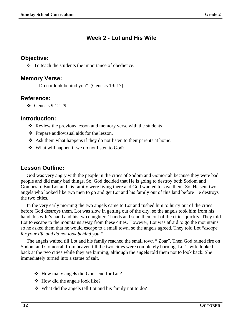## **Week 2 - Lot and His Wife**

## **Objective:**

To teach the students the importance of obedience.

### **Memory Verse:**

" Do not look behind you" (Genesis 19: 17)

## **Reference:**

 $\div$  Genesis 9:12-29

### **Introduction:**

- $\triangle$  Review the previous lesson and memory verse with the students
- $\triangleleft$  Prepare audiovisual aids for the lesson.
- $\triangleleft$  Ask them what happens if they do not listen to their parents at home.
- **❖** What will happen if we do not listen to God?

## **Lesson Outline:**

God was very angry with the people in the cities of Sodom and Gomorrah because they were bad people and did many bad things. So, God decided that He is going to destroy both Sodom and Gomorrah. But Lot and his family were living there and God wanted to save them. So, He sent two angels who looked like two men to go and get Lot and his family out of this land before He destroys the two cities.

In the very early morning the two angels came to Lot and rushed him to hurry out of the cities before God destroys them. Lot was slow in getting out of the city, so the angels took him from his hand, his wife's hand and his two daughters' hands and send them out of the cities quickly. They told Lot to escape to the mountains away from these cities. However, Lot was afraid to go the mountains so he asked them that he would escape to a small town, so the angels agreed. They told Lot "*escape for your life and do not look behind you ".* 

The angels waited till Lot and his family reached the small town " Zoar". Then God rained fire on Sodom and Gomorrah from heaven till the two cities were completely burning. Lot's wife looked back at the two cities while they are burning, although the angels told them not to look back. She immediately turned into a statue of salt.

- ❖ How many angels did God send for Lot?
- $\div$  How did the angels look like?
- What did the angels tell Lot and his family not to do?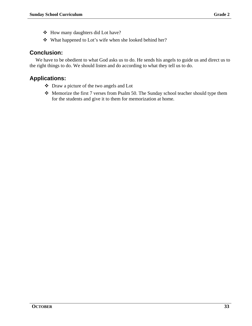- How many daughters did Lot have?
- What happened to Lot's wife when she looked behind her?

## **Conclusion:**

We have to be obedient to what God asks us to do. He sends his angels to guide us and direct us to the right things to do. We should listen and do according to what they tell us to do.

- Draw a picture of the two angels and Lot
- Memorize the first 7 verses from Psalm 50. The Sunday school teacher should type them for the students and give it to them for memorization at home.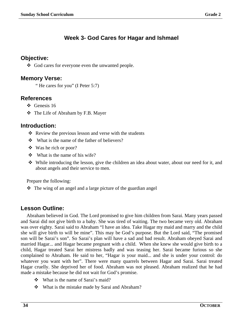# **Week 3- God Cares for Hagar and Ishmael**

### **Objective:**

God cares for everyone even the unwanted people.

#### **Memory Verse:**

" He cares for you" (I Peter 5:7)

## **References**

- Genesis 16
- The Life of Abraham by F.B. Mayer

## **Introduction:**

- $\triangle$  Review the previous lesson and verse with the students
- $\div$  What is the name of the father of believers?
- Was he rich or poor?
- $\div$  What is the name of his wife?
- While introducing the lesson, give the children an idea about water, about our need for it, and about angels and their service to men.

Prepare the following:

• The wing of an angel and a large picture of the guardian angel

## **Lesson Outline:**

Abraham believed in God. The Lord promised to give him children from Sarai. Many years passed and Sarai did not give birth to a baby. She was tired of waiting. The two became very old. Abraham was over eighty. Sarai said to Abraham "I have an idea. Take Hagar my maid and marry and the child she will give birth to will be mine". This may be God's purpose. But the Lord said, "The promised son will be Sarai's son". So Sarai's plan will have a sad and bad result. Abraham obeyed Sarai and married Hagar... and Hagar became pregnant with a child. When she knew she would give birth to a child, Hagar treated Sarai her mistress badly and was teasing her. Sarai became furious so she complained to Abraham. He said to her, "Hagar is your maid... and she is under your control: do whatever you want with her". There were many quarrels between Hagar and Sarai. Sarai treated Hagar cruelly. She deprived her of food. Abraham was not pleased. Abraham realized that he had made a mistake because he did not wait for God's promise.

- What is the name of Sarai's maid?
- What is the mistake made by Sarai and Abraham?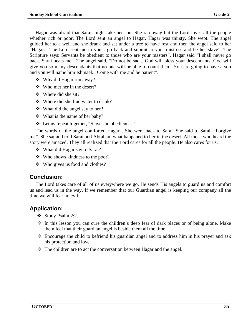Hagar was afraid that Sarai might take her son. She ran away but the Lord loves all the people whether rich or poor. The Lord sent an angel to Hagar. Hagar was thirsty. She wept. The angel guided her to a well and she drank and sat under a tree to have rest and then the angel said to her "Hagar... The Lord sent me to you... go back and submit to your mistress and be her slave". The Scripture says: Servants be obedient to those who are your masters". Hagar said "I shall never go back. Sarai beats me". The angel said, "Do not be sad... God will bless your descendants. God will give you so many descendants that no one will be able to count them. You are going to have a son and you will name him Ishmael... Come with me and be patient".

- Why did Hagar run away?
- Who met her in the desert?
- $\triangleleft$  Where did she sit?
- Where did she find water to drink?
- What did the angel say to her?
- What is the name of her baby?
- Let us repeat together, "Slaves be obedient…"

The words of the angel comforted Hagar... She went back to Sarai. She said to Sarai, "Forgive me". She sat and told Sarai and Abraham what happened to her in the desert. All those who heard the story were amazed. They all realized that the Lord cares for all the people. He also cares for us.

- What did Hagar say to Sarai?
- Who shows kindness to the poor?
- Who gives us food and clothes?

#### **Conclusion:**

The Lord takes care of all of us everywhere we go. He sends His angels to guard us and comfort us and lead us in the way. If we remember that our Guardian angel is keeping our company all the time we will fear no evil.

- $\div$  Study Psalm 2:2.
- In this lesson you can cure the children's deep fear of dark places or of being alone. Make them feel that their guardian angel is beside them all the time.
- Encourage the child to befriend his guardian angel and to address him in his prayer and ask his protection and love.
- The children are to act the conversation between Hagar and the angel.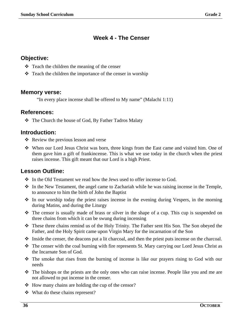## **Week 4 - The Censer**

## **Objective:**

- $\triangleleft$  Teach the children the meaning of the censer
- $\cdot \cdot$  Teach the children the importance of the censer in worship

#### **Memory verse:**

"In every place incense shall be offered to My name" (Malachi 1:11)

#### **References:**

The Church the house of God, By Father Tadros Malaty

### **Introduction:**

- $\triangleleft$  Review the previous lesson and verse
- When our Lord Jesus Christ was born, three kings from the East came and visited him. One of them gave him a gift of frankincense. This is what we use today in the church when the priest raises incense. This gift meant that our Lord is a high Priest.

## **Lesson Outline:**

- $\clubsuit$  In the Old Testament we read how the Jews used to offer incense to God.
- $\cdot$  In the New Testament, the angel came to Zachariah while he was raising incense in the Temple, to announce to him the birth of John the Baptist
- $\cdot$  In our worship today the priest raises incense in the evening during Vespers, in the morning during Matins, and during the Liturgy
- $\hat{\mathbf{\cdot}}$  The censor is usually made of brass or silver in the shape of a cup. This cup is suspended on three chains from which it can be swung during incensing
- These three chains remind us of the Holy Trinity. The Father sent His Son. The Son obeyed the Father, and the Holy Spirit came upon Virgin Mary for the incarnation of the Son
- $\cdot$  Inside the censer, the deacons put a lit charcoal, and then the priest puts incense on the charcoal.
- $\hat{\mathbf{v}}$  The censer with the coal burning with fire represents St. Mary carrying our Lord Jesus Christ as the Incarnate Son of God.
- The smoke that rises from the burning of incense is like our prayers rising to God with our needs
- The bishops or the priests are the only ones who can raise incense. People like you and me are not allowed to put incense in the censer.
- $\triangleleft$  How many chains are holding the cup of the censor?
- **❖** What do these chains represent?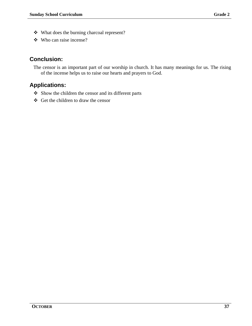- What does the burning charcoal represent?
- Who can raise incense?

## **Conclusion:**

The censor is an important part of our worship in church. It has many meanings for us. The rising of the incense helps us to raise our hearts and prayers to God.

- Show the children the censor and its different parts
- $\div$  Get the children to draw the censor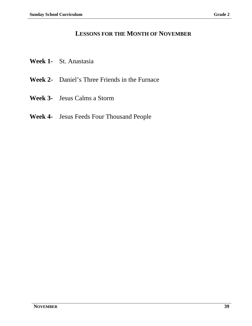## **LESSONS FOR THE MONTH OF NOVEMBER**

- **Week 1-** St. Anastasia
- **Week 2-** Daniel's Three Friends in the Furnace
- **Week 3-** Jesus Calms a Storm
- **Week 4-** Jesus Feeds Four Thousand People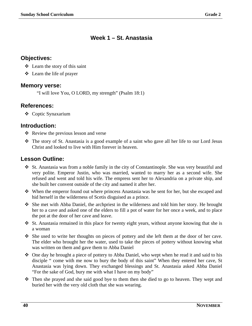## **Week 1 – St. Anastasia**

## **Objectives:**

- Learn the story of this saint
- Learn the life of prayer

## **Memory verse:**

"I will love You, O LORD, my strength" (Psalm 18:1)

## **References:**

Coptic Synaxarium

## **Introduction:**

- $\triangleleft$  Review the previous lesson and verse
- The story of St. Anastasia is a good example of a saint who gave all her life to our Lord Jesus Christ and looked to live with Him forever in heaven.

# **Lesson Outline:**

- St. Anastasia was from a noble family in the city of Constantinople. She was very beautiful and very polite. Emperor Justin, who was married, wanted to marry her as a second wife. She refused and went and told his wife. The empress sent her to Alexandria on a private ship, and she built her convent outside of the city and named it after her.
- When the emperor found out where princess Anastasia was he sent for her, but she escaped and hid herself in the wilderness of Scetis disguised as a prince.
- She met with Abba Daniel, the archpriest in the wilderness and told him her story. He brought her to a cave and asked one of the elders to fill a pot of water for her once a week, and to place the pot at the door of her cave and leave.
- $\cdot$  St. Anastasia remained in this place for twenty eight years, without anyone knowing that she is a woman
- She used to write her thoughts on pieces of pottery and she left them at the door of her cave. The elder who brought her the water, used to take the pieces of pottery without knowing what was written on them and gave them to Abba Daniel
- One day he brought a piece of pottery to Abba Daniel, who wept when he read it and said to his disciple " come with me now to bury the body of this saint" When they entered her cave, St Anastasia was lying down. They exchanged blessings and St. Anastasia asked Abba Daniel "For the sake of God, bury me with what I have on my body"
- Then she prayed and she said good bye to them then she died to go to heaven. They wept and buried her with the very old cloth that she was wearing.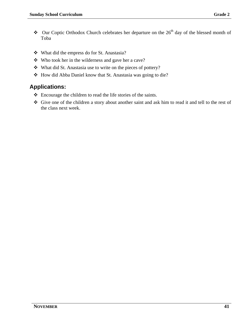- $\bullet$  Our Coptic Orthodox Church celebrates her departure on the 26<sup>th</sup> day of the blessed month of Toba
- What did the empress do for St. Anastasia?
- Who took her in the wilderness and gave her a cave?
- What did St. Anastasia use to write on the pieces of pottery?
- How did Abba Daniel know that St. Anastasia was going to die?

- Encourage the children to read the life stories of the saints.
- Give one of the children a story about another saint and ask him to read it and tell to the rest of the class next week.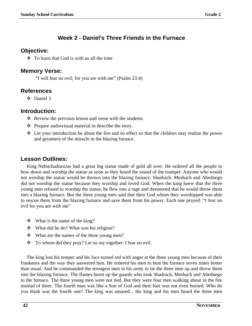## **Week 2 - Daniel's Three Friends in the Furnace**

#### **Objective:**

To learn that God is with us all the time

### **Memory Verse:**

"I will fear no evil; for you are with me" (Psalm 23:4)

## **References**

Daniel 3

### **Introduction:**

- Review the previous lesson and verse with the students
- $\triangle$  Prepare audiovisual material to describe the story.
- Let your introduction be about the fire and its effect so that the children may realize the power and greatness of the miracle in the blazing furnace.

## **Lesson Outlines:**

King Nebuchadnezzar had a great big statue made of gold all over. He ordered all the people to bow down and worship the statue as soon as they heard the sound of the trumpet. Anyone who would not worship the statue would be thrown into the blazing furnace. Shadrach, Meshach and Abednego did not worship the statue because they worship and loved God. When the king knew that the three young men refused to worship the statue, he flew into a rage and threatened that he would throw them into a blazing furnace. But the three young men said that their God whom they worshipped was able to rescue them from the blazing furnace and save them from his power. Each one prayed: "I fear no evil for you are with me"

- $\bullet\bullet\text{ What is the name of the king?}$
- $\bullet\bullet\quad$  What did he do? What was his religion?
- What are the names of the three young men?
- \* To whom did they pray? Let us say together: I fear no evil.

The king lost his temper and his face turned red with anger at the three young men because of their frankness and the way they answered him. He ordered his men to heat the furnace seven times hotter than usual. And he commanded the strongest men in his army to tie the three men up and throw them into the blazing furnace. The flames burnt up the guards who took Shadrach, Meshach and Abednego to the furnace. The three young men were not tied. But they were four men walking about in the fire instead of three. The fourth man was like a Son of God and their hair was not even burned. Who do you think was the fourth one? The king was amazed... the king and his men heard the three men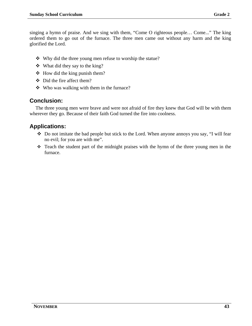singing a hymn of praise. And we sing with them, "Come O righteous people… Come..." The king ordered them to go out of the furnace. The three men came out without any harm and the king glorified the Lord.

- Why did the three young men refuse to worship the statue?
- What did they say to the king?
- $\triangleleft$  How did the king punish them?
- Did the fire affect them?
- Who was walking with them in the furnace?

## **Conclusion:**

The three young men were brave and were not afraid of fire they knew that God will be with them wherever they go. Because of their faith God turned the fire into coolness.

- Do not imitate the bad people but stick to the Lord. When anyone annoys you say, "I will fear no evil; for you are with me".
- Teach the student part of the midnight praises with the hymn of the three young men in the furnace.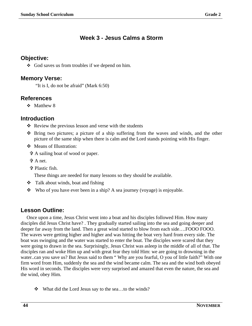## **Week 3 - Jesus Calms a Storm**

## **Objective:**

God saves us from troubles if we depend on him.

## **Memory Verse:**

"It is I, do not be afraid" (Mark 6:50)

# **References**

❖ Matthew 8

## **Introduction**

- $\triangle$  Review the previous lesson and verse with the students
- Bring two pictures; a picture of a ship suffering from the waves and winds, and the other picture of the same ship when there is calm and the Lord stands pointing with His finger.
- Means of Illustration:
- = A sailing boat of wood or paper.
- = A net.
- = Plastic fish.

These things are needed for many lessons so they should be available.

- $\triangleleft$  Talk about winds, boat and fishing
- Who of you have ever been in a ship? A sea journey (voyage) is enjoyable.

# **Lesson Outline:**

Once upon a time, Jesus Christ went into a boat and his disciples followed Him. How many disciples did Jesus Christ have? . They gradually started sailing into the sea and going deeper and deeper far away from the land. Then a great wind started to blow from each side….FOOO FOOO. The waves were getting higher and higher and was hitting the boat very hard from every side. The boat was swinging and the water was started to enter the boat. The disciples were scared that they were going to drawn in the sea. Surprisingly, Jesus Christ was asleep in the middle of all of that. The disciples ran and woke Him up and with great fear they told Him: we are going to drowning in the water..can you save us? But Jesus said to them " Why are you fearful, O you of little faith?" With one firm word from Him, suddenly the sea and the wind became calm. The sea and the wind both obeyed His word in seconds. The disciples were very surprised and amazed that even the nature, the sea and the wind, obey Him.

What did the Lord Jesus say to the sea…to the winds?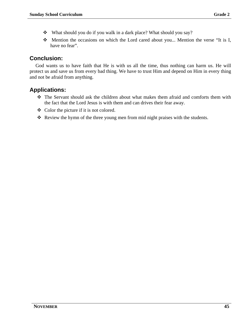- What should you do if you walk in a dark place? What should you say?
- Mention the occasions on which the Lord cared about you... Mention the verse "It is I, have no fear".

## **Conclusion:**

God wants us to have faith that He is with us all the time, thus nothing can harm us. He will protect us and save us from every bad thing. We have to trust Him and depend on Him in every thing and not be afraid from anything.

- The Servant should ask the children about what makes them afraid and comforts them with the fact that the Lord Jesus is with them and can drives their fear away.
- Color the picture if it is not colored.
- \* Review the hymn of the three young men from mid night praises with the students.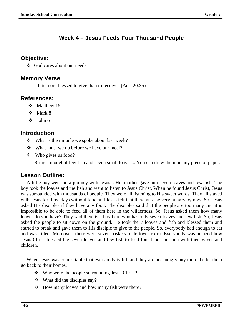## **Week 4 – Jesus Feeds Four Thousand People**

### **Objective:**

God cares about our needs.

#### **Memory Verse:**

"It is more blessed to give than to receive" (Acts 20:35)

## **References:**

- ❖ Matthew 15
- $\div$  Mark 8
- John 6

## **Introduction**

- $\bullet$  What is the miracle we spoke about last week?
- What must we do before we have our meal?
- Who gives us food?

Bring a model of few fish and seven small loaves... You can draw them on any piece of paper.

## **Lesson Outline:**

A little boy went on a journey with Jesus... His mother gave him seven loaves and few fish. The boy took the loaves and the fish and went to listen to Jesus Christ. When he found Jesus Christ, Jesus was surrounded with thousands of people. They were all listening to His sweet words. They all stayed with Jesus for three days without food and Jesus felt that they must be very hungry by now. So, Jesus asked His disciples if they have any food. The disciples said that the people are too many and it is impossible to be able to feed all of them here in the wilderness. So, Jesus asked them how many loaves do you have? They said there is a boy here who has only seven loaves and few fish. So, Jesus asked the people to sit down on the ground. He took the 7 loaves and fish and blessed them and started to break and gave them to His disciple to give to the people. So, everybody had enough to eat and was filled. Moreover, there were seven baskets of leftover extra. Everybody was amazed how Jesus Christ blessed the seven loaves and few fish to feed four thousand men with their wives and children.

When Jesus was comfortable that everybody is full and they are not hungry any more, he let them go back to their homes.

- ❖ Why were the people surrounding Jesus Christ?
- $\triangleleft$  What did the disciples say?
- $\triangleleft$  How many loaves and how many fish were there?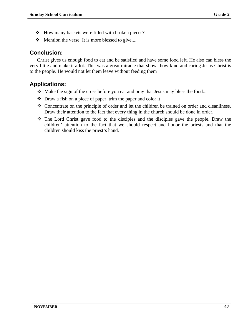- ❖ How many baskets were filled with broken pieces?
- $\triangleleft$  Mention the verse: It is more blessed to give....

## **Conclusion:**

Christ gives us enough food to eat and be satisfied and have some food left. He also can bless the very little and make it a lot. This was a great miracle that shows how kind and caring Jesus Christ is to the people. He would not let them leave without feeding them

- Make the sign of the cross before you eat and pray that Jesus may bless the food...
- $\triangle$  Draw a fish on a piece of paper, trim the paper and color it
- Concentrate on the principle of order and let the children be trained on order and cleanliness. Draw their attention to the fact that every thing in the church should be done in order.
- $\hat{\mathbf{v}}$  The Lord Christ gave food to the disciples and the disciples gave the people. Draw the children' attention to the fact that we should respect and honor the priests and that the children should kiss the priest's hand.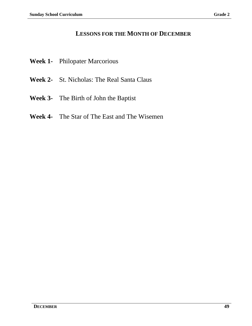## **LESSONS FOR THE MONTH OF DECEMBER**

- **Week 1-** Philopater Marcorious
- **Week 2-** St. Nicholas: The Real Santa Claus
- **Week 3-** The Birth of John the Baptist
- **Week 4-** The Star of The East and The Wisemen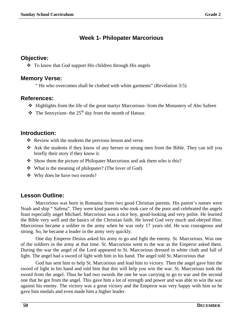## **Week 1- Philopater Marcorious**

## **Objective:**

To know that God support His children through His angels

### **Memory Verse:**

" He who overcomes shall be clothed with white garments" (Revelation 3:5)

## **References:**

- Highlights from the life of the great martyr Marcorious- from the Monastery of Abo Safeen
- $\cdot \cdot$  The Senxyrium- the 25<sup>th</sup> day from the month of Hatour.

## **Introduction:**

- \* Review with the students the previous lesson and verse.
- $\triangle$  Ask the students if they know of any heroes or strong men from the Bible. They can tell you briefly their story if they know it.
- $\div$  Show them the picture of Philopater Marcorious and ask them who is this?
- What is the meaning of philopater? (The lover of God)
- Why does he have two swords?

## **Lesson Outline:**

Marcorious was born in Romania from two good Christian parents. His parent's names were Noah and ship " Safena". They were kind parents who took care of the poor and celebrated the angels feast especially angel Michael. Marcorious was a nice boy, good-looking and very polite. He learned the Bible very well and the basics of the Christian faith. He loved God very much and obeyed Him. Marcorious became a soldier in the army when he was only 17 years old. He was courageous and strong. So, he became a leader in the army very quickly.

One day Emperor Desius asked his army to go and fight the enemy. St. Marcorious. Was one of the soldiers in the army at that time. St. Marcorious went to the war as the Emperor asked them. During the war the angel of the Lord appeared to St. Marcorious dressed in white cloth and full of light. The angel had a sword of light with him in his hand. The angel told St. Marcorious that

God has sent him to help St. Marcorious and lead him to victory. Then the angel gave him the sword of light in his hand and told him that this will help you win the war. St. Marcorious took the sword from the angel. Thus he had two swords the one he was carrying to go to war and the second one that he got from the angel. This gave him a lot of strength and power and was able to win the war against his enemy. The victory was a great victory and the Emperor was very happy with him so he gave him medals and even made him a higher leader.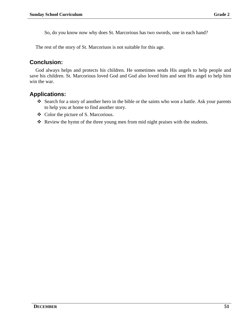So, do you know now why does St. Marcorious has two swords, one in each hand?

The rest of the story of St. Marcoriuos is not suitable for this age.

#### **Conclusion:**

God always helps and protects his children. He sometimes sends His angels to help people and save his children. St. Marcorious loved God and God also loved him and sent His angel to help him win the war.

- Search for a story of another hero in the bible or the saints who won a battle. Ask your parents to help you at home to find another story.
- Color the picture of S. Marcorious.
- \* Review the hymn of the three young men from mid night praises with the students.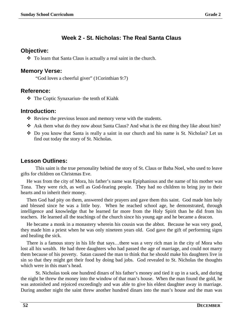## **Week 2 - St. Nicholas: The Real Santa Claus**

#### **Objective:**

To learn that Santa Claus is actually a real saint in the church.

### **Memory Verse:**

"God loves a cheerful giver" (1Corinthian 9:7)

### **Reference:**

The Coptic Synaxariun- the tenth of Kiahk

### **Introduction:**

- \* Review the previous lesson and memory verse with the students.
- $\clubsuit$  Ask them what do they now about Santa Claus? And what is the est thing they like about him?
- Do you know that Santa is really a saint in our church and his name is St. Nicholas? Let us find out today the story of St. Nicholas.

## **Lesson Outlines:**

This saint is the true personality behind the story of St. Claus or Baba Noel, who used to leave gifts for children on Christmas Eve.

He was from the city of Mora, his father's name was Epiphanious and the name of his mother was Tona. They were rich, as well as God-fearing people. They had no children to bring joy to their hearts and to inherit their money.

Then God had pity on them, answered their prayers and gave them this saint. God made him holy and blessed since he was a little boy. When he reached school age, he demonstrated, through intelligence and knowledge that he learned far more from the Holy Spirit than he did from his teachers. He learned all the teachings of the church since his young age and he became a deacon.

He became a monk in a monastery wherein his cousin was the abbot. Because he was very good, they made him a priest when he was only nineteen years old. God gave the gift of performing signs and healing the sick.

There is a famous story in his life that says…there was a very rich man in the city of Mora who lost all his wealth. He had three daughters who had passed the age of marriage, and could not marry them because of his poverty. Satan caused the man to think that he should make his daughters live in sin so that they might get their food by doing bad jobs. God revealed to St. Nicholas the thoughts which were in this man's head.

St. Nicholas took one hundred dinars of his father's money and tied it up in a sack, and during the night he threw the money into the window of that man's house. When the man found the gold, he was astonished and rejoiced exceedingly and was able to give his eldest daughter away in marriage. During another night the saint threw another hundred dinars into the man's house and the man was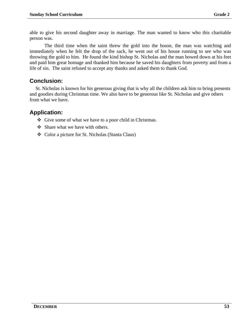able to give his second daughter away in marriage. The man wanted to know who this charitable person was.

The third time when the saint threw the gold into the house, the man was watching and immediately when he felt the drop of the sack, he went out of his house running to see who was throwing the gold to him. He found the kind bishop St. Nicholas and the man bowed down at his feet and paid him great homage and thanked him because he saved his daughters from poverty and from a life of sin. The saint refused to accept any thanks and asked them to thank God.

## **Conclusion:**

St. Nicholas is known for his generous giving that is why all the children ask him to bring presents and goodies during Christmas time. We also have to be generous like St. Nicholas and give others from what we have.

- $\triangleleft$  Give some of what we have to a poor child in Christmas.
- Share what we have with others.
- Color a picture for St. Nicholas (Stanta Claus)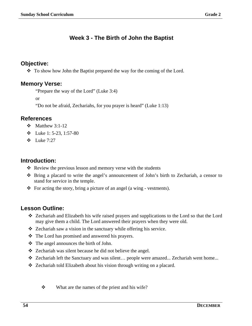# **Week 3 - The Birth of John the Baptist**

### **Objective:**

• To show how John the Baptist prepared the way for the coming of the Lord.

#### **Memory Verse:**

"Prepare the way of the Lord" (Luke 3:4)

or

"Do not be afraid, Zechariahs, for you prayer is heard" (Luke 1:13)

## **References**

- $\div$  Matthew 3:1-12
- $\cdot \cdot \cdot$  Luke 1: 5-23, 1:57-80
- $\div$  Luke 7:27

### **Introduction:**

- Review the previous lesson and memory verse with the students
- Bring a placard to write the angel's announcement of John's birth to Zechariah, a censor to stand for service in the temple.
- For acting the story, bring a picture of an angel (a wing vestments).

## **Lesson Outline:**

- Zechariah and Elizabeth his wife raised prayers and supplications to the Lord so that the Lord may give them a child. The Lord answered their prayers when they were old.
- Zechariah saw a vision in the sanctuary while offering his service.
- The Lord has promised and answered his prayers.
- The angel announces the birth of John.
- Zechariah was silent because he did not believe the angel.
- Zechariah left the Sanctuary and was silent… people were amazed... Zechariah went home...
- Zechariah told Elizabeth about his vision through writing on a placard.
	- What are the names of the priest and his wife?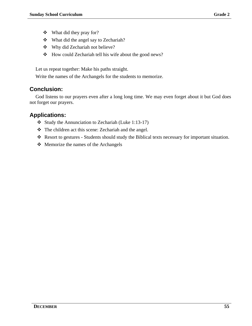- What did they pray for?
- What did the angel say to Zechariah?
- Why did Zechariah not believe?
- ❖ How could Zechariah tell his wife about the good news?

Let us repeat together: Make his paths straight.

Write the names of the Archangels for the students to memorize.

## **Conclusion:**

God listens to our prayers even after a long long time. We may even forget about it but God does not forget our prayers.

- $\div$  Study the Annunciation to Zechariah (Luke 1:13-17)
- The children act this scene: Zechariah and the angel.
- \* Resort to gestures Students should study the Biblical texts necessary for important situation.
- Memorize the names of the Archangels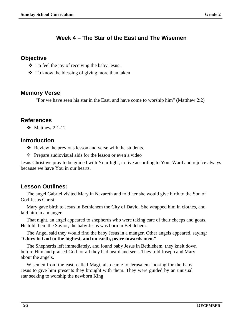## **Week 4 – The Star of the East and The Wisemen**

### **Objective**

- To feel the joy of receiving the baby Jesus .
- $\cdot \cdot$  To know the blessing of giving more than taken

## **Memory Verse**

"For we have seen his star in the East, and have come to worship him" (Matthew 2:2)

## **References**

 $\div$  Matthew 2:1-12

## **Introduction**

- \* Review the previous lesson and verse with the students.
- $\triangle$  Prepare audiovisual aids for the lesson or even a video

Jesus Christ we pray to be guided with Your light, to live according to Your Ward and rejoice always because we have You in our hearts.

# **Lesson Outlines:**

The angel Gabriel visited Mary in Nazareth and told her she would give birth to the Son of God Jesus Christ.

Mary gave birth to Jesus in Bethlehem the City of David. She wrapped him in clothes, and laid him in a manger.

That night, an angel appeared to shepherds who were taking care of their cheeps and goats. He told them the Savior, the baby Jesus was born in Bethlehem.

The Angel said they would find the baby Jesus in a manger. Other angels appeared, saying: "**Glory to God in the highest, and on earth, peace towards men."** 

The Shepherds left immediately, and found baby Jesus in Bethlehem, they knelt down before Him and praised God for all they had heard and seen. They told Joseph and Mary about the angels.

Wisemen from the east, called Magi, also came to Jerusalem looking for the baby Jesus to give him presents they brought with them. They were guided by an unusual star seeking to worship the newborn King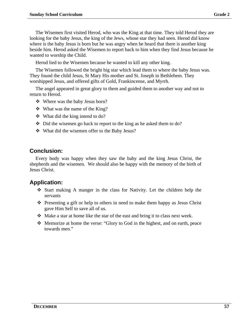The Wisemen first visited Herod, who was the King at that time. They told Herod they are looking for the baby Jesus, the king of the Jews, whose star they had seen. Herod did know where is the baby Jesus is born but he was angry when he heard that there is another king beside him. Herod asked the Wisemen to report back to him when they find Jesus because he wanted to worship the Child.

Herod lied to the Wisemen because he wanted to kill any other king.

The Wisemen followed the bright big star which lead them to where the baby Jesus was. They found the child Jesus, St Mary His mother and St. Joseph in Bethlehem. They worshipped Jesus, and offered gifts of Gold, Frankincense, and Myrrh.

The angel appeared in great glory to them and guided them to another way and not to return to Herod.

- Where was the baby Jesus born?
- What was the name of the King?
- What did the king intend to do?
- $\bullet$  Did the wisemen go back to report to the king as he asked them to do?
- What did the wisemen offer to the Baby Jesus?

### **Conclusion:**

Every body was happy when they saw the baby and the king Jesus Christ, the shepherds and the wisemen. We should also be happy with the memory of the birth of Jesus Christ.

- Start making A manger in the class for Nativity. Let the children help the servants
- $\hat{\mathbf{v}}$  Presenting a gift or help to others in need to make them happy as Jesus Christ gave Him Self to save all of us.
- $\mathbf{\hat{P}}$  Make a star at home like the star of the east and bring it to class next week.
- Memorize at home the verse: "Glory to God in the highest, and on earth, peace towards men."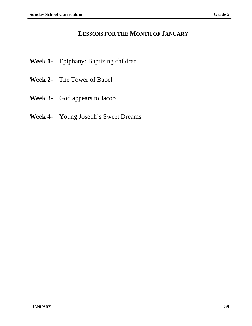# **LESSONS FOR THE MONTH OF JANUARY**

- **Week 1-** Epiphany: Baptizing children
- **Week 2-** The Tower of Babel
- **Week 3-** God appears to Jacob
- **Week 4-** Young Joseph's Sweet Dreams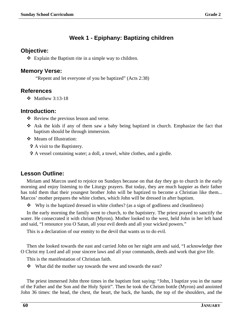# **Week 1 - Epiphany: Baptizing children**

### **Objective:**

 $\triangleleft$  Explain the Baptism rite in a simple way to children.

#### **Memory Verse:**

"Repent and let everyone of you be baptized" (Acts 2:38)

## **References**

 $\div$  Matthew 3:13-18

#### **Introduction:**

- Review the previous lesson and verse.
- $\triangle$  Ask the kids if any of them saw a baby being baptized in church. Emphasize the fact that baptism should be through immersion.
- Means of Illustration:
	- = A visit to the Baptistery.
- = A vessel containing water; a doll, a towel, white clothes, and a girdle.

## **Lesson Outline:**

Miriam and Marcos used to rejoice on Sundays because on that day they go to church in the early morning and enjoy listening to the Liturgy prayers. But today, they are much happier as their father has told them that their youngest brother John will be baptized to become a Christian like them... Marcos' mother prepares the white clothes, which John will be dressed in after baptism.

 $\bullet$  Why is the baptized dressed in white clothes? (as a sign of godliness and cleanliness)

In the early morning the family went to church, to the baptistery. The priest prayed to sanctify the water. He consecrated it with chrism (Myron). Mother looked to the west, held John in her left hand and said, "I renounce you O Satan, all your evil deeds and all your wicked powers."

This is a declaration of our enmity to the devil that wants us to do evil.

Then she looked towards the east and carried John on her night arm and said, "I acknowledge thee O Christ my Lord and all your sincere laws and all your commands, deeds and work that give life.

This is the manifestation of Christian faith.

What did the mother say towards the west and towards the east?

The priest immersed John three times in the baptism font saying: "John, I baptize you in the name of the Father and the Son and the Holy Spirit". Then he took the Chrism bottle (Myron) and anointed John 36 times: the head, the chest, the heart, the back, the hands, the top of the shoulders, and the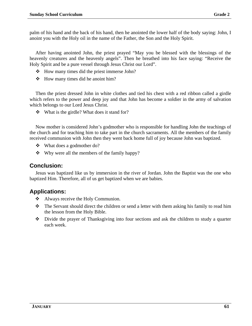palm of his hand and the back of his hand, then he anointed the lower half of the body saying: John, I anoint you with the Holy oil in the name of the Father, the Son and the Holy Spirit.

After having anointed John, the priest prayed "May you be blessed with the blessings of the heavenly creatures and the heavenly angels". Then he breathed into his face saying: "Receive the Holy Spirit and be a pure vessel through Jesus Christ our Lord".

- $\div$  How many times did the priest immerse John?
- $\triangleleft$  How many times did he anoint him?

Then the priest dressed John in white clothes and tied his chest with a red ribbon called a girdle which refers to the power and deep joy and that John has become a soldier in the army of salvation which belongs to our Lord Jesus Christ.

What is the girdle? What does it stand for?

Now mother is considered John's godmother who is responsible for handling John the teachings of the church and for teaching him to take part in the church sacraments. All the members of the family received communion with John then they went back home full of joy because John was baptized.

- What does a godmother do?
- Why were all the members of the family happy?

#### **Conclusion:**

Jesus was baptized like us by immersion in the river of Jordan. John the Baptist was the one who baptized Him. Therefore, all of us get baptized when we are babies.

- Always receive the Holy Communion.
- \* The Servant should direct the children or send a letter with them asking his family to read him the lesson from the Holy Bible.
- Divide the prayer of Thanksgiving into four sections and ask the children to study a quarter each week.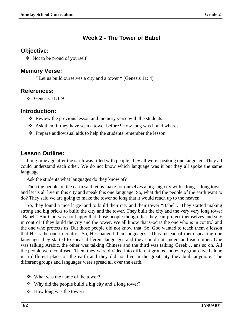## **Week 2 - The Tower of Babel**

#### **Objective:**

Not to be proud of yourself

#### **Memory Verse:**

" Let us build ourselves a city and a tower " (Genesis 11: 4)

#### **References:**

 $\div$  Genesis 11:1-9

#### **Introduction:**

- $\triangleleft$  Review the previous lesson and memory verse with the students
- Ask them if they have seen a tower before? How long was it and where?
- Prepare audiovisual aids to help the students remember the lesson.

## **Lesson Outline:**

Long time ago after the earth was filled with people, they all were speaking one language. They all could understand each other. We do not know which language was it but they all spoke the same language.

Ask the students what languages do they know of?

Then the people on the earth said let us make for ourselves a big..big city with a long …long tower and let us all live in this city and speak this one language. So, what did the people of the earth want to do? They said we are going to make the tower so long that it would reach up to the heaven.

So, they found a nice large land to build their city and their tower "Babel". They started making strong and big bricks to build the city and the tower. They built the city and the very very long tower "Babel". But God was not happy that those people though that they can protect themselves and stay in control if they build the city and the tower. We all know that God is the one who is in control and the one who protects us. But those people did not know that. So, God wanted to teach them a lesson that He is the one in control. So, He changed their languages. Thus instead of them speaking one language, they started to speak different languages and they could not understand each other. One was talking Arabic, the other was talking Chinese and the third was talking Greek …ans so on. All the people were confused. Then, they were divided into different groups and every group lived alone in a different place on the earth and they did not live in the great city they built anymore. The different groups and languages were spread all over the earth.

- ❖ What was the name of the tower?
- Why did the people build a big city and a long tower?
- ❖ How long was the tower?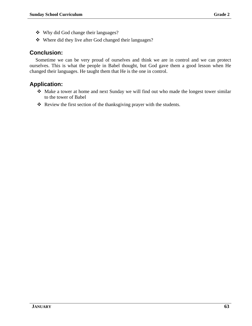- Why did God change their languages?
- Where did they live after God changed their languages?

#### **Conclusion:**

Sometime we can be very proud of ourselves and think we are in control and we can protect ourselves. This is what the people in Babel thought, but God gave them a good lesson when He changed their languages. He taught them that He is the one in control.

- Make a tower at home and next Sunday we will find out who made the longest tower similar to the tower of Babel
- Review the first section of the thanksgiving prayer with the students.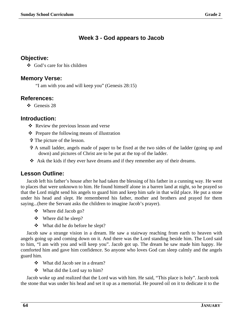## **Week 3 - God appears to Jacob**

## **Objective:**

God's care for his children

## **Memory Verse:**

"I am with you and will keep you" (Genesis 28:15)

# **References:**

❖ Genesis 28

## **Introduction:**

- $\triangle$  Review the previous lesson and verse
- ❖ Prepare the following means of illustration
- = The picture of the lesson.
- = A small ladder, angels made of paper to be fixed at the two sides of the ladder (going up and down) and pictures of Christ are to be put at the top of the ladder.
- $\triangleleft$  Ask the kids if they ever have dreams and if they remember any of their dreams.

# **Lesson Outline:**

Jacob left his father's house after he had taken the blessing of his father in a cunning way. He went to places that were unknown to him. He found himself alone in a barren land at night, so he prayed so that the Lord might send his angels to guard him and keep him safe in that wild place. He put a stone under his head and slept. He remembered his father, mother and brothers and prayed for them saying...(here the Servant asks the children to imagine Jacob's prayer).

- Where did Jacob go?
- $\bullet$  Where did he sleep?
- What did he do before he slept?

Jacob saw a strange vision in a dream. He saw a stairway reaching from earth to heaven with angels going up and coming down on it. And there was the Lord standing beside him. The Lord said to him, "I am with you and will keep you". Jacob got up. The dream he saw made him happy. He comforted him and gave him confidence. So anyone who loves God can sleep calmly and the angels guard him.

- What did Jacob see in a dream?
- What did the Lord say to him?

Jacob woke up and realized that the Lord was with him. He said, "This place is holy". Jacob took the stone that was under his head and set it up as a memorial. He poured oil on it to dedicate it to the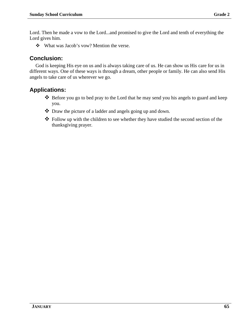What was Jacob's vow? Mention the verse.

# **Conclusion:**

God is keeping His eye on us and is always taking care of us. He can show us His care for us in different ways. One of these ways is through a dream, other people or family. He can also send His angels to take care of us wherever we go.

- $\clubsuit$  Before you go to bed pray to the Lord that he may send you his angels to guard and keep you.
- Draw the picture of a ladder and angels going up and down.
- Follow up with the children to see whether they have studied the second section of the thanksgiving prayer.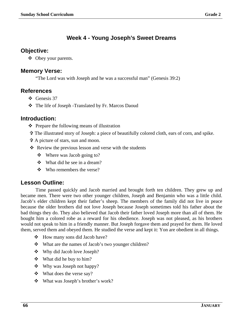# **Week 4 - Young Joseph's Sweet Dreams**

#### **Objective:**

Obey your parents.

#### **Memory Verse:**

"The Lord was with Joseph and he was a successful man" (Genesis 39:2)

## **References**

- Genesis 37
- The life of Joseph -Translated by Fr. Marcos Daoud

#### **Introduction:**

- $\triangle$  Prepare the following means of illustration
- = The illustrated story of Joseph: a piece of beautifully colored cloth, ears of corn, and spike.
- = A picture of stars, sun and moon.
- ❖ Review the previous lesson and verse with the students
	- ❖ Where was Jacob going to?
	- What did he see in a dream?
	- $\mathbf{\hat{\cdot}$  Who remembers the verse?

## **Lesson Outline:**

Time passed quickly and Jacob married and brought forth ten children. They grew up and became men. There were two other younger children, Joseph and Benjamin who was a little child. Jacob's elder children kept their father's sheep. The members of the family did not live in peace because the older brothers did not love Joseph because Joseph sometimes told his father about the bad things they do. They also believed that Jacob their father loved Joseph more than all of them. He bought him a colored robe as a reward for his obedience. Joseph was not pleased, as his brothers would not speak to him in a friendly manner. But Joseph forgave them and prayed for them. He loved them, served them and obeyed them. He studied the verse and kept it: Yon are obedient in all things.

- $\triangleleft$  How many sons did Jacob have?
- What are the names of Jacob's two younger children?
- Why did Jacob love Joseph?
- What did he buy to him?
- Why was Joseph not happy?
- What does the verse say?
- What was Joseph's brother's work?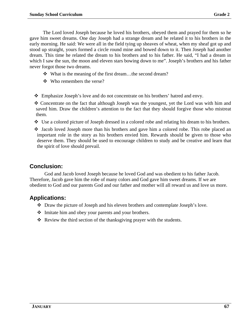The Lord loved Joseph because he loved his brothers, obeyed them and prayed for them so he gave him sweet dreams. One day Joseph had a strange dream and he related it to his brothers in the early morning. He said: We were all in the field tying up sheaves of wheat, when my sheaf got up and stood up straight, yours formed a circle round mine and bowed down to it. Then Joseph had another dream. This time he related the dream to his brothers and to his father. He said, "I had a dream in which I saw the sun, the moon and eleven stars bowing down to me". Joseph's brothers and his father never forgot those two dreams.

- What is the meaning of the first dream…the second dream?
- Who remembers the verse?
- Emphasize Joseph's love and do not concentrate on his brothers' hatred and envy.

 Concentrate on the fact that although Joseph was the youngest, yet the Lord was with him and saved him. Draw the children's attention to the fact that they should forgive those who mistreat them.

- Use a colored picture of Joseph dressed in a colored robe and relating his dream to his brothers.
- $\div$  Jacob loved Joseph more than his brothers and gave him a colored robe. This robe placed an important role in the story as his brothers envied him. Rewards should be given to those who deserve them. They should be used to encourage children to study and be creative and learn that the spirit of love should prevail.

## **Conclusion:**

God and Jacob loved Joseph because he loved God and was obedient to his father Jacob. Therefore, Jacob gave him the robe of many colors and God gave him sweet dreams. If we are obedient to God and our parents God and our father and mother will all reward us and love us more.

- Draw the picture of Joseph and his eleven brothers and contemplate Joseph's love.
- $\triangle$  Imitate him and obey your parents and your brothers.
- $\triangle$  Review the third section of the thanksgiving prayer with the students.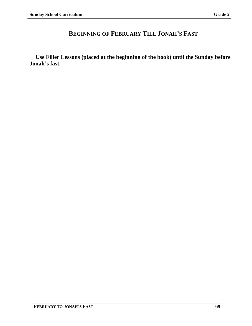# **BEGINNING OF FEBRUARY TILL JONAH'S FAST**

**Use Filler Lessons (placed at the beginning of the book) until the Sunday before Jonah's fast.**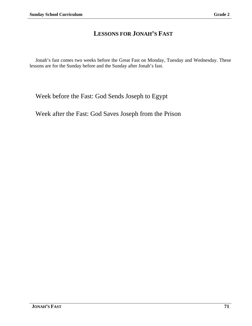# **LESSONS FOR JONAH'S FAST**

Jonah's fast comes two weeks before the Great Fast on Monday, Tuesday and Wednesday. These lessons are for the Sunday before and the Sunday after Jonah's fast.

Week before the Fast: God Sends Joseph to Egypt

Week after the Fast: God Saves Joseph from the Prison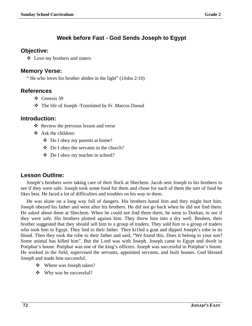## **Week before Fast - God Sends Joseph to Egypt**

#### **Objective:**

Love my brothers and sisters

#### **Memory Verse:**

" He who loves his brother abides in the light" (1John 2:10)

#### **References**

- Genesis 39
- The life of Joseph -Translated by Fr. Marcos Daoud

#### **Introduction:**

- $\triangleleft$  Review the previous lesson and verse
- $\triangleleft$  Ask the children:
	- Do I obey my parents at home?
	- Do I obey the servants in the church?
	- Do I obey my teacher in school?

## **Lesson Outline:**

Joseph's brothers were taking care of their flock at Shechem. Jacob sent Joseph to his brothers to see if they were safe. Joseph took some food for them and chose for each of them the sort of food he likes best. He faced a lot of difficulties and troubles on his way to them.

He was alone on a long way full of dangers. His brothers hated him and they might hurt him. Joseph obeyed his father and went after his brothers. He did not go back when he did not find them. He asked about them at Shechem. When he could not find them there, he went to Dothan, to see if they were safe. His brothers plotted against him. They threw him into a dry well. Reuben, their brother suggested that they should sell him to a group of traders. They sold him to a group of traders who took him to Egypt. They lied to their father. They ki1led a goat and dipped Joseph's robe in its blood. Then they took the robe to their father and said, "We found this. Does it belong to your son? Some animal has killed him". But the Lord was with Joseph. Joseph came to Egypt and dwelt in Potiphar's house. Potiphar was one of the king's officers. Joseph was successful in Potiphar's house. He worked in the field, supervised the servants, appointed servants, and built houses. God blessed Joseph and made him successful.

- Where was Joseph taken?
- Why was he successful?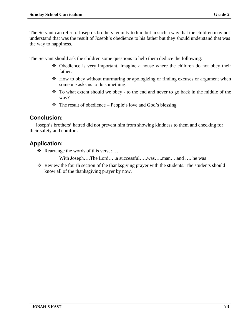The Servant can refer to Joseph's brothers' enmity to him but in such a way that the children may not understand that was the result of Joseph's obedience to his father but they should understand that was the way to happiness.

The Servant should ask the children some questions to help them deduce the following:

- Obedience is very important. Imagine a house where the children do not obey their father.
- How to obey without murmuring or apologizing or finding excuses or argument when someone asks us to do something.
- To what extent should we obey to the end and never to go back in the middle of the way?
- $\triangle$  The result of obedience People's love and God's blessing

#### **Conclusion:**

Joseph's brothers' hatred did not prevent him from showing kindness to them and checking for their safety and comfort.

## **Application:**

 $\triangleleft$  Rearrange the words of this verse: ...

With Joseph….The Lord…..a successful…..was…..man….and …..he was

\* Review the fourth section of the thanksgiving prayer with the students. The students should know all of the thanksgiving prayer by now.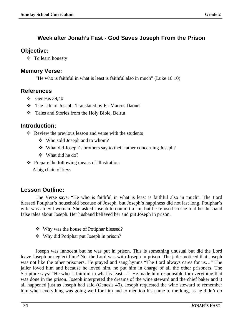# **Week after Jonah's Fast - God Saves Joseph From the Prison**

## **Objective:**

❖ To learn honesty

## **Memory Verse:**

"He who is faithful in what is least is faithful also in much" (Luke 16:10)

## **References**

- $\div$  Genesis 39,40
- The Life of Joseph -Translated by Fr. Marcos Daoud
- \* Tales and Stories from the Holy Bible, Beirut

# **Introduction:**

- ❖ Review the previous lesson and verse with the students
	- Who sold Joseph and to whom?
	- What did Joseph's brothers say to their father concerning Joseph?
	- What did he do?
- Prepare the following means of illustration:
	- A big chain of keys

# **Lesson Outline:**

The Verse says: "He who is faithful in what is least is faithful also in much". The Lord blessed Potiphar's household because of Joseph, but Joseph's happiness did not last long. Potiphar's wife was an evil woman. She asked Joseph to commit a sin, but he refused so she told her husband false tales about Joseph. Her husband believed her and put Joseph in prison.

- Why was the house of Potiphar blessed?
- Why did Potiphar put Joseph in prison?

Joseph was innocent but he was put in prison. This is something unusual but did the Lord leave Joseph or neglect him? No, the Lord was with Joseph in prison. The jailer noticed that Joseph was not like the other prisoners. He prayed and sang hymns "The Lord always cares for us…" The jailer loved him and because he loved him, he put him in charge of all the other prisoners. The Scripture says: "He who is faithful in what is least…". He made him responsible for everything that was done in the prison. Joseph interpreted the dreams of the wine steward and the chief baker and it all happened just as Joseph had said (Genesis 40). Joseph requested the wine steward to remember him when everything was going well for him and to mention his name to the king, as he didn't do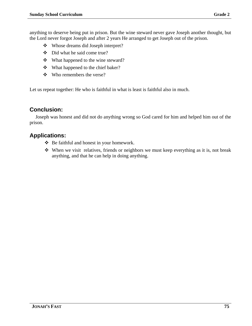- Whose dreams did Joseph interpret?
- Did what he said come true?
- What happened to the wine steward?
- What happened to the chief baker?
- Who remembers the verse?

Let us repeat together: He who is faithful in what is least is faithful also in much.

## **Conclusion:**

Joseph was honest and did not do anything wrong so God cared for him and helped him out of the prison.

- Be faithful and honest in your homework.
- When we visit relatives, friends or neighbors we must keep everything as it is, not break anything, and that he can help in doing anything.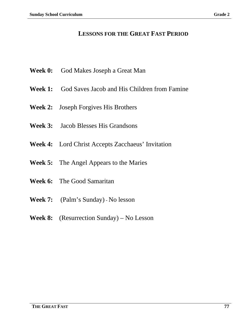# **LESSONS FOR THE GREAT FAST PERIOD**

- **Week 0:** God Makes Joseph a Great Man
- **Week 1:** God Saves Jacob and His Children from Famine
- **Week 2:** Joseph Forgives His Brothers
- **Week 3:** Jacob Blesses His Grandsons
- **Week 4:** Lord Christ Accepts Zacchaeus' Invitation
- **Week 5:** The Angel Appears to the Maries
- **Week 6:** The Good Samaritan
- **Week 7:** (Palm's Sunday) No lesson
- **Week 8:** (Resurrection Sunday) No Lesson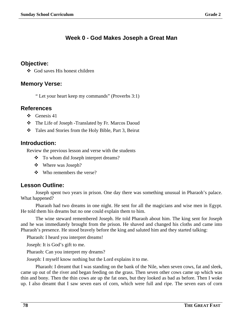# **Week 0 - God Makes Joseph a Great Man**

#### **Objective:**

❖ God saves His honest children

#### **Memory Verse:**

" Let your heart keep my commands" (Proverbs 3:1)

#### **References**

- $\div$  Genesis 41
- The Life of Joseph -Translated by Fr. Marcos Daoud
- Tales and Stories from the Holy Bible, Part 3, Beirut

#### **Introduction:**

Review the previous lesson and verse with the students

- \* To whom did Joseph interpret dreams?
- Where was Joseph?
- Who remembers the verse?

## **Lesson Outline:**

Joseph spent two years in prison. One day there was something unusual in Pharaoh's palace. What happened?

Pharaoh had two dreams in one night. He sent for all the magicians and wise men in Egypt. He told them his dreams but no one could explain them to him.

The wine steward remembered Joseph. He told Pharaoh about him. The king sent for Joseph and he was immediately brought from the prison. He shaved and changed his cloths and came into Pharaoh's presence. He stood bravely before the king and saluted him and they started talking:

Pharaoh: I heard you interpret dreams!

Joseph: It is God's gift to me.

Pharaoh: Can you interpret my dreams?

Joseph: I myself know nothing but the Lord explains it to me.

Pharaoh: I dreamt that I was standing on the bank of the Nile, when seven cows, fat and sleek, came up out of the river and began feeding on the grass. Then seven other cows came up which was thin and bony. Then the thin cows ate up the fat ones, but they looked as bad as before. Then I woke up. I also dreamt that I saw seven ears of corn, which were full and ripe. The seven ears of corn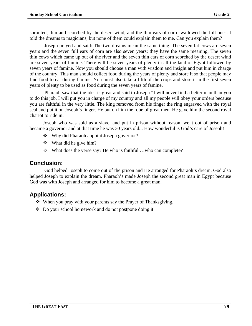sprouted, thin and scorched by the desert wind, and the thin ears of corn swallowed the full ones. I told the dreams to magicians, but none of them could explain them to me. Can you explain them?

Joseph prayed and said: The two dreams mean the same thing. The seven fat cows are seven years and the seven full ears of corn are also seven years; they have the same meaning. The seven thin cows which came up out of the river and the seven thin ears of corn scorched by the desert wind are seven years of famine. There will be seven years of plenty in all the land of Egypt followed by seven years of famine. Now you should choose a man with wisdom and insight and put him in charge of the country. This man should collect food during the years of plenty and store it so that people may find food to eat during famine. You must also take a fifth of the crops and store it in the first seven years of plenty to be used as food during the seven years of famine.

Pharaoh saw that the idea is great and said to Joseph "I will never find a better man than you to do this job. I will put you in charge of my country and all my people will obey your orders because you are faithful in the very little. The king removed from his finger the ring engraved with the royal seal and put it on Joseph's finger. He put on him the robe of great men. He gave him the second royal chariot to ride in.

Joseph who was sold as a slave, and put in prison without reason, went out of prison and became a governor and at that time he was 30 years old... How wonderful is God's care of Joseph!

- Why did Pharaoh appoint Joseph governor?
- $\bullet$  What did he give him?
- What does the verse say? He who is faithful …who can complete?

#### **Conclusion:**

God helped Joseph to come out of the prison and He arranged for Pharaoh's dream. God also helped Joseph to explain the dream. Pharaoh's made Joseph the second great man in Egypt because God was with Joseph and arranged for him to become a great man.

- When you pray with your parents say the Prayer of Thanksgiving.
- Do your school homework and do not postpone doing it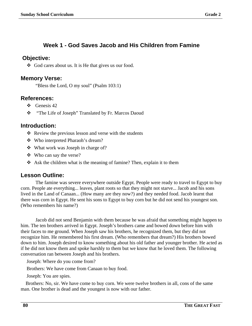## **Week 1 - God Saves Jacob and His Children from Famine**

#### **Objective:**

God cares about us. It is He that gives us our food.

## **Memory Verse:**

"Bless the Lord, O my soul" (Psalm 103:1)

## **References:**

- $\div$  Genesis 42
- \* "The Life of Joseph" Translated by Fr. Marcos Daoud

## **Introduction:**

- ❖ Review the previous lesson and verse with the students
- Who interpreted Pharaoh's dream?
- **❖** What work was Joseph in charge of?
- Who can say the verse?
- Ask the children what is the meaning of famine? Then, explain it to them

## **Lesson Outline:**

The famine was severe everywhere outside Egypt. People were ready to travel to Egypt to buy corn. People ate everything... leaves, plant roots so that they might not starve... Jacob and his sons lived in the Land of Canaan... (How many are they now?) and they needed food. Jacob learnt that there was corn in Egypt. He sent his sons to Egypt to buy corn but he did not send his youngest son. (Who remembers his name?)

Jacob did not send Benjamin with them because he was afraid that something might happen to him. The ten brothers arrived in Egypt. Joseph's brothers came and bowed down before him with their faces to me ground. When Joseph saw his brothers, he recognized them, but they did not recognize him. He remembered his first dream. (Who remembers that dream?) His brothers bowed down to him. Joseph desired to know something about his old father and younger brother. He acted as if he did not know them and spoke harshly to them but we know that he loved them. The following conversation ran between Joseph and his brothers.

Joseph: Where do you come from?

Brothers: We have come from Canaan to buy food.

Joseph: You are spies.

 Brothers: No, sir. We have come to buy corn. We were twelve brothers in all, cons of the same man. One brother is dead and the youngest is now with our father.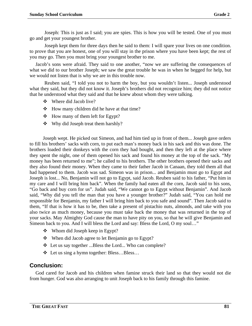Joseph: This is just as I said; you are spies. This is how you will be tested. One of you must go and get your youngest brother.

Joseph kept them for three days then he said to them: I will spare your lives on one condition. to prove that you are honest, one of you will stay in the prison where you have been kept; the rest of you may go. Then you must bring your youngest brother to me.

Jacob's sons were afraid. They said to one another, "now we are suffering the consequences of what we did to our brother Joseph; we saw the great trouble he was in when he begged for help, but we would not listen that is why we are in this trouble now.

Reuben said, "I told you not to harm the boy, but you wouldn't listen... Joseph understood what they said, but they did not know it. Joseph's brothers did not recognize him; they did not notice that he understood what they said and that he knew about whom they were talking.

- Where did Jacob live?
- \* How many children did he have at that time?
- $\triangleleft$  How many of them left for Egypt?
- ◆ Why did Joseph treat them harshly?

Joseph wept. He picked out Simeon, and had him tied up in front of them... Joseph gave orders to fill his brothers' sacks with corn, to put each man's money back in his sack and this was done. The brothers loaded their donkeys with the corn they had bought, and then they left at the place where they spent the night, one of them opened his sack and found his money at the top of the sack. "My money has been returned to me"; he called to his brothers. The other brothers opened their sacks and they also found their money. When they came to their father Jacob in Canaan, they told them all that had happened to them. Jacob was sad. Simeon was in prison... and Benjamin must go to Egypt and Joseph is lost... No, Benjamin will not go to Egypt, said Jacob. Reuben said to his father, "Put him in my care and I will bring him back". When the family had eaten all the corn, Jacob said to his sons, "Go back and buy corn for us". Judah said, "We cannot go to Egypt without Benjamin". And Jacob said, "Why did you tell the man that you have a younger brother?" Judah said, "You can hold me responsible for Benjamin, my father I will bring him back to you safe and sound". Then Jacob said to them, "If that is how it has to be, then take a present of pistachio nuts, almonds, and take with you also twice as much money, because you must take back the money that was returned in the top of your sacks. May Almighty God cause the man to have pity on you, so that he will give Benjamin and Simeon back to you. And I will bless the Lord and say: Bless the Lord, O my soul…"

- Whom did Joseph keep in Egypt?
- When did Jacob agree to let Benjamin go to Egypt?
- Let us say together ...Bless the Lord... Who can complete?
- Let us sing a hymn together: Bless…Bless…

## **Conclusion:**

God cared for Jacob and his children when famine struck their land so that they would not die from hunger. God was also arranging to unit Joseph back to his family through this famine.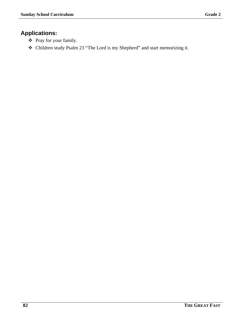- Pray for your family.
- Children study Psalm 23 "The Lord is my Shepherd" and start memorizing it.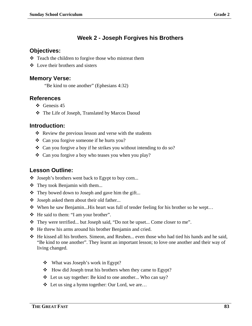# **Week 2 - Joseph Forgives his Brothers**

#### **Objectives:**

- Teach the children to forgive those who mistreat them
- Love their brothers and sisters

#### **Memory Verse:**

"Be kind to one another" (Ephesians 4:32)

## **References**

- Genesis 45
- The Life of Joseph, Translated by Marcos Daoud

## **Introduction:**

- $\triangle$  Review the previous lesson and verse with the students
- Can you forgive someone if he hurts you?
- Can you forgive a boy if he strikes you without intending to do so?
- Can you forgive a boy who teases you when you play?

## **Lesson Outline:**

- Joseph's brothers went back to Egypt to buy corn...
- They took Benjamin with them...
- They bowed down to Joseph and gave him the gift...
- Joseph asked them about their old father...
- $\mathbf{\hat{P}}$  When he saw Benjamin...His heart was full of tender feeling for his brother so he wept...
- \* He said to them: "I am your brother".
- \* They were terrified... but Joseph said, "Do not be upset... Come closer to me".
- $\triangle$  He threw his arms around his brother Benjamin and cried.
- \* He kissed all his brothers. Simeon, and Reuben... even those who had tied his hands and he said, "Be kind to one another". They learnt an important lesson; to love one another and their way of living changed.
	- What was Joseph's work in Egypt?
	- ❖ How did Joseph treat his brothers when they came to Egypt?
	- Let us say together: Be kind to one another... Who can say?
	- Let us sing a hymn together: Our Lord, we are…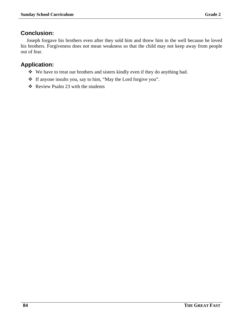## **Conclusion:**

Joseph forgave his brothers even after they sold him and threw him in the well because he loved his brothers. Forgiveness does not mean weakness so that the child may not keep away from people out of fear.

- We have to treat our brothers and sisters kindly even if they do anything bad.
- \* If anyone insults you, say to him, "May the Lord forgive you".
- $\triangleleft$  Review Psalm 23 with the students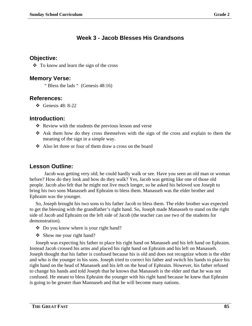## **Week 3 - Jacob Blesses His Grandsons**

#### **Objective:**

 $\triangleleft$  To know and learn the sign of the cross

#### **Memory Verse:**

" Bless the lads " (Genesis 48:16)

## **References:**

 $\div$  Genesis 48: 8-22

#### **Introduction:**

- ❖ Review with the students the previous lesson and verse
- Ask them how do they cross themselves with the sign of the cross and explain to them the meaning of the sign in a simple way.
- Also let three or four of them draw a cross on the board

## **Lesson Outline:**

Jacob was getting very old; he could hardly walk or see. Have you seen an old man or woman before? How do they look and how do they walk? Yes, Jacob was getting like one of those old people. Jacob also felt that he might not live much longer, so he asked his beloved son Joseph to bring his two sons Manasseh and Ephraim to bless them. Manasseh was the elder brother and Ephraim was the younger.

So, Joseph brought his two sons to his father Jacob to bless them. The elder brother was expected to get the blessing with the grandfather's right hand. So, Joseph made Manasseh to stand on the right side of Jacob and Ephraim on the left side of Jacob (the teacher can use two of the students for demonstration).

- Do you know where is your right hand?
- $\triangleleft$  Show me your right hand?

Joseph was expecting his father to place his right hand on Manasseh and his left hand on Ephraim. Instead Jacob crossed his arms and placed his right hand on Ephraim and his left on Manasseh. Joseph thought that his father is confused because his is old and does not recognize whom is the elder and who is the younger in his sons. Joseph tried to correct his father and switch his hands to place his right hand on the head of Manasseh and his left on the head of Ephraim. However, his father refused to change his hands and told Joseph that he knows that Manasseh is the elder and that he was not confused. He meant to bless Ephraim the younger with his right hand because he knew that Ephraim is going to be greater than Mannaseh and that he will become many nations.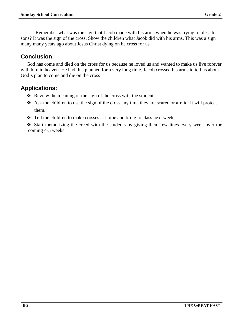Remember what was the sign that Jacob made with his arms when he was trying to bless his sons? It was the sign of the cross. Show the children what Jacob did with his arms. This was a sign many many years ago about Jesus Christ dying on he cross for us.

# **Conclusion:**

God has come and died on the cross for us because he loved us and wanted to make us live forever with him in heaven. He had this planned for a very long time. Jacob crossed his arms to tell us about God's plan to come and die on the cross

## **Applications:**

- Review the meaning of the sign of the cross with the students.
- Ask the children to use the sign of the cross any time they are scared or afraid. It will protect them.
- Tell the children to make crosses at home and bring to class next week.

 Start memorizing the creed with the students by giving them few lines every week over the coming 4-5 weeks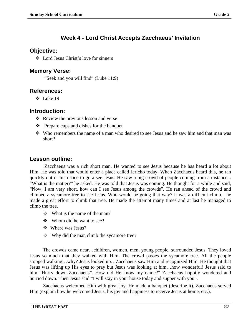# **Week 4 - Lord Christ Accepts Zacchaeus' Invitation**

#### **Objective:**

Lord Jesus Christ's love for sinners

#### **Memory Verse:**

"Seek and you will find" (Luke 11:9)

## **References:**

Luke 19

#### **Introduction:**

- ❖ Review the previous lesson and verse
- $\triangle$  Prepare cups and dishes for the banquet
- $\div$  Who remembers the name of a man who desired to see Jesus and he saw him and that man was short?

## **Lesson outline:**

Zacchaeus was a rich short man. He wanted to see Jesus because he has heard a lot about Him. He was told that would enter a place called Jericho today. When Zacchaeus heard this, he ran quickly out of his office to go a see Jesus. He saw a big crowd of people coming from a distance... "What is the matter?" he asked. He was told that Jesus was coming. He thought for a while and said, "Now, I am very short, how can I see Jesus among the crowds". He ran ahead of the crowd and climbed a sycamore tree to see Jesus. Who would be going that way? It was a difficult climb... he made a great effort to climb that tree. He made the attempt many times and at last he managed to climb the tree.

- What is the name of the man?
- $\mathbf{\hat{\cdot}}$  Whom did he want to see?
- Where was Jesus?
- Why did the man climb the sycamore tree?

The crowds came near…children, women, men, young people, surrounded Jesus. They loved Jesus so much that they walked with Him. The crowd passes the sycamore tree. All the people stopped walking…why? Jesus looked up…Zacchaeus saw Him and recognized Him. He thought that Jesus was lifting up His eyes to pray but Jesus was looking at him…how wonderful! Jesus said to him "Hurry down Zacchaeus". How did He know my name?" Zacchaeus happily wondered and hurried down. Then Jesus said "I will stay in your house today and supper with you".

Zacchaeus welcomed Him with great joy. He made a banquet (describe it). Zacchaeus served Him (explain how he welcomed Jesus, his joy and happiness to receive Jesus at home, etc.).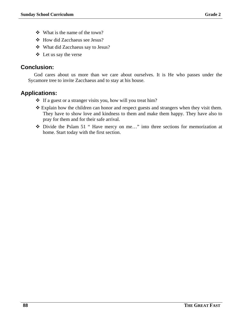- What is the name of the town?
- How did Zacchaeus see Jesus?
- What did Zacchaeus say to Jesus?
- Let us say the verse

#### **Conclusion:**

God cares about us more than we care about ourselves. It is He who passes under the Sycamore tree to invite Zacchaeus and to stay at his house.

- If a guest or a stranger visits you, how will you treat him?
- Explain how the children can honor and respect guests and strangers when they visit them. They have to show love and kindness to them and make them happy. They have also to pray for them and for their safe arrival.
- Divide the Pslam 51 " Have mercy on me…" into three sections for memorization at home. Start today with the first section.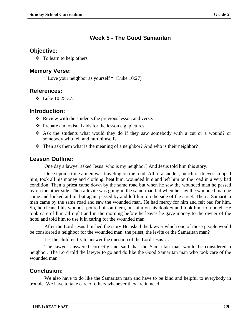## **Week 5 - The Good Samaritan**

#### **Objective:**

 $\triangleleft$  To learn to help others

#### **Memory Verse:**

" Love your neighbor as yourself " (Luke 10:27)

## **References:**

 $\div$  Luke 10:25-37.

#### **Introduction:**

- \* Review with the students the previous lesson and verse.
- $\triangle$  Prepare audiovisual aids for the lesson e.g. pictures
- Ask the students what would they do if they saw somebody with a cut or a wound? or somebody who fell and hurt himself?
- $\div$  Then ask them what is the meaning of a neighbor? And who is their neighbor?

## **Lesson Outline:**

One day a lawyer asked Jesus: who is my neighbor? And Jesus told him this story:

Once upon a time a men was traveling on the road. All of a sudden, punch of thieves stopped him, took all his money and clothing, beat him, wounded him and left him on the road in a very bad condition. Then a priest came down by the same road but when he saw the wounded man he passed by on the other side. Then a levite was going in the same road but when he saw the wounded man he came and looked at him but again passed by and left him on the side of the street. Then a Samaritan man came by the same road and saw the wounded man. He had mercy for him and felt bad for him. So, he cleaned his wounds, poured oil on them, put him on his donkey and took him to a hotel. He took care of him all night and in the morning before he leaves he gave money to the owner of the hotel and told him to use it in caring for the wounded man.

After the Lord Jesus finished the story He asked the lawyer which one of those people would be considered a neighbor for the wounded man: the priest, the levite or the Samaritan man?

Let the children try to answer the question of the Lord Jesus....

The lawyer answered correctly and said that the Samaritan man would be considered a neighbor. The Lord told the lawyer to go and do like the Good Samaritan man who took care of the wounded man.

## **Conclusion:**

We also have to do like the Samaritan man and have to be kind and helpful to everybody in trouble. We have to take care of others whenever they are in need.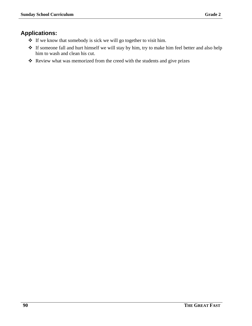- If we know that somebody is sick we will go together to visit him.
- \* If someone fall and hurt himself we will stay by him, try to make him feel better and also help him to wash and clean his cut.
- \* Review what was memorized from the creed with the students and give prizes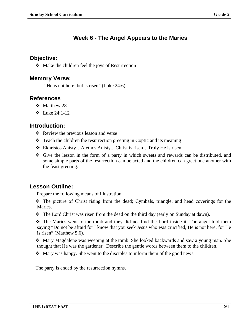# **Week 6 - The Angel Appears to the Maries**

#### **Objective:**

Make the children feel the joys of Resurrection

#### **Memory Verse:**

"He is not here; but is risen" (Luke 24:6)

## **References**

- ❖ Matthew 28
- Luke 24:1-12

#### **Introduction:**

- ❖ Review the previous lesson and verse
- $\triangleleft$  Teach the children the resurrection greeting in Coptic and its meaning
- Ekhristos Anisty…Alethos Anisty... Christ is risen…Truly He is risen.
- Give the lesson in the form of a party in which sweets and rewards can be distributed, and some simple parts of the resurrection can be acted and the children can greet one another with the feast greeting:

## **Lesson Outline:**

Prepare the following means of illustration

 The picture of Christ rising from the dead; Cymbals, triangle, and head coverings for the Maries.

The Lord Christ was risen from the dead on the third day (early on Sunday at dawn).

 The Maries went to the tomb and they did not find the Lord inside it. The angel told them saying "Do not be afraid for I know that you seek Jesus who was crucified, He is not here; for He is risen" (Matthew 5,6).

 Mary Magdalene was weeping at the tomb. She looked backwards and saw a young man. She thought that He was the gardener. Describe the gentle words between them to the children.

 $\triangleleft$  Mary was happy. She went to the disciples to inform them of the good news.

The party is ended by the resurrection hymns.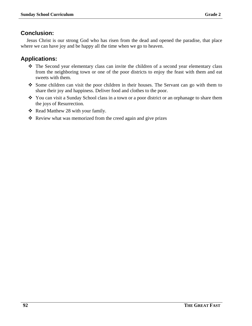## **Conclusion:**

Jesus Christ is our strong God who has risen from the dead and opened the paradise, that place where we can have joy and be happy all the time when we go to heaven.

- The Second year elementary class can invite the children of a second year elementary class from the neighboring town or one of the poor districts to enjoy the feast with them and eat sweets with them.
- Some children can visit the poor children in their houses. The Servant can go with them to share their joy and happiness. Deliver food and clothes to the poor.
- \* You can visit a Sunday School class in a town or a poor district or an orphanage to share them the joys of Resurrection.
- ❖ Read Matthew 28 with your family.
- Review what was memorized from the creed again and give prizes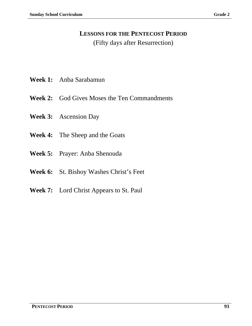# **LESSONS FOR THE PENTECOST PERIOD**

(Fifty days after Resurrection)

- **Week 1:** Anba Sarabamun
- **Week 2:** God Gives Moses the Ten Commandments
- **Week 3:** Ascension Day
- **Week 4:** The Sheep and the Goats
- **Week 5:** Prayer: Anba Shenouda
- **Week 6:** St. Bishoy Washes Christ's Feet
- **Week 7:** Lord Christ Appears to St. Paul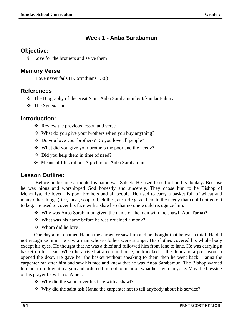## **Week 1 - Anba Sarabamun**

#### **Objective:**

Love for the brothers and serve them

#### **Memory Verse:**

Love never fails (I Corinthians 13:8)

#### **References**

- The Biography of the great Saint Anba Sarabamun by Iskandar Fahmy
- The Synexarium

#### **Introduction:**

- $\triangleleft$  Review the previous lesson and verse
- ❖ What do you give your brothers when you buy anything?
- Do you love your brothers? Do you love all people?
- What did you give your brothers the poor and the needy?
- $\triangleleft$  Did you help them in time of need?
- Means of Illustration: A picture of Anba Sarabamun

## **Lesson Outline:**

Before he became a monk, his name was Saleeb. He used to sell oil on his donkey. Because he was pious and worshipped God honestly and sincerely. They chose him to be Bishop of Menoufya. He loved his poor brothers and all people. He used to carry a basket full of wheat and many other things (rice, meat, soap, oil, clothes, etc.) He gave them to the needy that could not go out to beg. He used to cover his face with a shawl so that no one would recognize him.

- Why was Anba Sarabamun given the name of the man with the shawl (Abu Tarha)?
- What was his name before he was ordained a monk?
- $\div$  Whom did he love?

One day a man named Hanna the carpenter saw him and he thought that he was a thief. He did not recognize him. He saw a man whose clothes were strange. His clothes covered his whole body except his eyes. He thought that he was a thief and followed him from lane to lane. He was carrying a basket on his head. When he arrived at a certain house, he knocked at the door and a poor woman opened the door. He gave her the basket without speaking to them then he went back. Hanna the carpenter ran after him and saw his face and knew that he was Anba Sarabamun. The Bishop warned him not to follow him again and ordered him not to mention what he saw to anyone. May the blessing of his prayer be with us. Amen.

- $\triangleleft$  Why did the saint cover his face with a shawl?
- Why did the saint ask Hanna the carpenter not to tell anybody about his service?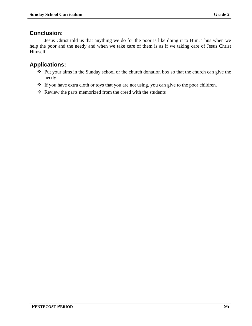## **Conclusion:**

Jesus Christ told us that anything we do for the poor is like doing it to Him. Thus when we help the poor and the needy and when we take care of them is as if we taking care of Jesus Christ Himself.

- Put your alms in the Sunday school or the church donation box so that the church can give the needy.
- If you have extra cloth or toys that you are not using, you can give to the poor children.
- \* Review the parts memorized from the creed with the students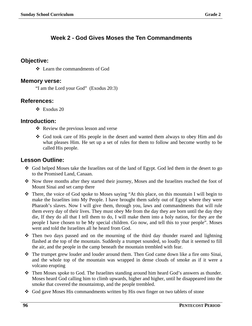## **Week 2 - God Gives Moses the Ten Commandments**

## **Objective:**

Learn the commandments of God

#### **Memory verse:**

"I am the Lord your God" (Exodus 20:3)

## **References:**

Exodus 20

#### **Introduction:**

- ❖ Review the previous lesson and verse
- God took care of His people in the desert and wanted them always to obey Him and do what pleases Him. He set up a set of rules for them to follow and become worthy to be called His people.

## **Lesson Outline:**

- God helped Moses take the Israelites out of the land of Egypt. God led them in the desert to go to the Promised Land, Canaan.
- Now three months after they started their journey, Moses and the Israelites reached the foot of Mount Sinai and set camp there
- There, the voice of God spoke to Moses saying "At this place, on this mountain I will begin to make the Israelites into My People. I have brought them safely out of Egypt where they were Pharaoh's slaves. Now I will give them, through you, laws and commandments that will rule them every day of their lives. They must obey Me from the day they are born until the day they die, If they do all that I tell them to do, I will make them into a holy nation, for they are the people I have chosen to be My special children. Go now, and tell this to your people". Moses went and told the Israelites all he heard from God.
- Then two days passed and on the mourning of the third day thunder roared and lightning flashed at the top of the mountain. Suddenly a trumpet sounded, so loudly that it seemed to fill the air, and the people in the camp beneath the mountain trembled with fear.
- \* The trumpet grew louder and louder around them. Then God came down like a fire onto Sinai, and the whole top of the mountain was wrapped in dense clouds of smoke as if it were a volcano erupting
- Then Moses spoke to God. The Israelites standing around him heard God's answers as thunder. Moses heard God calling him to climb upwards, higher and higher, until he disappeared into the smoke that covered the mountaintop, and the people trembled.
- God gave Moses His commandments written by His own finger on two tablets of stone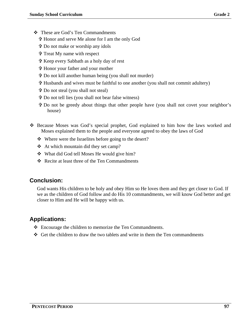- These are God's Ten Commandments
	- = Honor and serve Me alone for I am the only God
	- = Do not make or worship any idols
	- = Treat My name with respect
	- = Keep every Sabbath as a holy day of rest
	- = Honor your father and your mother
	- = Do not kill another human being (you shall not murder)
	- = Husbands and wives must be faithful to one another (you shall not commit adultery)
	- = Do not steal (you shall not steal)
	- = Do not tell lies (you shall not bear false witness)
	- = Do not be greedy about things that other people have (you shall not covet your neighbor's house)
- Because Moses was God's special prophet, God explained to him how the laws worked and Moses explained them to the people and everyone agreed to obey the laws of God
	- ❖ Where were the Israelites before going to the desert?
	- $\triangleleft$  At which mountain did they set camp?
	- What did God tell Moses He would give him?
	- Recite at least three of the Ten Commandments

 God wants His children to be holy and obey Him so He loves them and they get closer to God. If we as the children of God follow and do His 10 commandments, we will know God better and get closer to Him and He will be happy with us.

- Encourage the children to memorize the Ten Commandments.
- Get the children to draw the two tablets and write in them the Ten commandments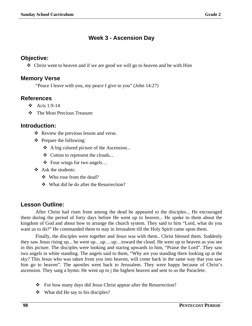## **Week 3 - Ascension Day**

## **Objective:**

Christ went to heaven and if we are good we will go to heaven and be with Him

## **Memory Verse**

"Peace I leave with you, my peace I give to you" (John 14:27)

## **References**

- $\div$  Acts 1:9-14
- The Most Precious Treasure

## **Introduction:**

- $\triangleleft$  Review the previous lesson and verse.
- $\triangle$  Prepare the following:
	- ❖ A big colored picture of the Ascension...
	- $\triangleleft$  Cotton to represent the clouds...
	- $\triangleleft$  Four wings for two angels...
- $\triangleleft$  Ask the students:
	- $\div$  Who rose from the dead?
	- **❖** What did he do after the Resurrection?

## **Lesson Outline:**

After Christ had risen from among the dead he appeared to the disciples... He encouraged them during the period of forty days before He went up to heaven... He spoke to them about the kingdom of God and about how to arrange the church system. They said to him "Lord, what do you want us to do?" He commanded them to stay in Jerusalem till the Holy Spirit came upon them.

Finally, the disciples were together and Jesus was with them.. Christ blessed them. Suddenly they saw Jesus rising up... he went up…up….up…toward the cloud. He went up to heaven as you see in this picture. The disciples were looking and staring upwards to him, "Praise the Lord". They saw two angels in white standing. The angels said to them, "Why are you standing there looking up at the sky? This Jesus who was taken from you into heaven, will come back in the same way that you saw him go to heaven". The apostles went back to Jerusalem. They were happy because of Christ's ascension. They sang a hymn: He went up to j the highest heaven and sent to us the Paraclete.

- \* For how many days did Jesus Christ appear after the Resurrection?
- $\bullet\bullet\quad$  What did He say to his disciples?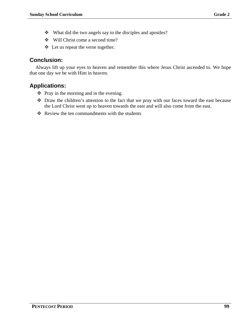- What did the two angels say to the disciples and apostles?
- Will Christ come a second time?
- Let us repeat the verse together.

Always lift up your eyes to heaven and remember this where Jesus Christ ascended to. We hope that one day we be with Him in heaven.

- $\triangleleft$  Pray in the morning and in the evening.
- Draw the children's attention to the fact that we pray with our faces toward the east because the Lord Christ went up to heaven towards the east and will also come from the east.
- $\triangle$  Review the ten commandments with the students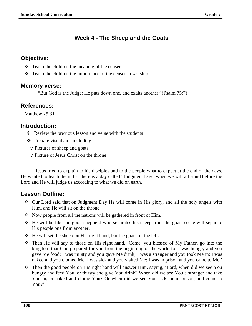## **Week 4 - The Sheep and the Goats**

## **Objective:**

- $\triangleleft$  Teach the children the meaning of the censer
- $\triangleleft$  Teach the children the importance of the censer in worship

### **Memory verse:**

"But God is the Judge: He puts down one, and exalts another" (Psalm 75:7)

## **References:**

Matthew 25:31

## **Introduction:**

- ❖ Review the previous lesson and verse with the students
- $\triangle$  Prepare visual aids including:
- = Pictures of sheep and goats
- = Picture of Jesus Christ on the throne

Jesus tried to explain to his disciples and to the people what to expect at the end of the days. He wanted to teach them that there is a day called "Judgment Day" when we will all stand before the Lord and He will judge us according to what we did on earth.

## **Lesson Outline:**

- Our Lord said that on Judgment Day He will come in His glory, and all the holy angels with Him, and He will sit on the throne.
- $\bullet$  Now people from all the nations will be gathered in front of Him.
- $\div$  He will be like the good shepherd who separates his sheep from the goats so he will separate His people one from another.
- $\triangle$  He will set the sheep on His right hand, but the goats on the left.
- Then He will say to those on His right hand, 'Come, you blessed of My Father, go into the kingdom that God prepared for you from the beginning of the world for I was hungry and you gave Me food; I was thirsty and you gave Me drink; I was a stranger and you took Me in; I was naked and you clothed Me; I was sick and you visited Me; I was in prison and you came to Me.'
- Then the good people on His right hand will answer Him, saying, 'Lord, when did we see You hungry and feed You, or thirsty and give You drink? When did we see You a stranger and take You in, or naked and clothe You? Or when did we see You sick, or in prison, and come to You?'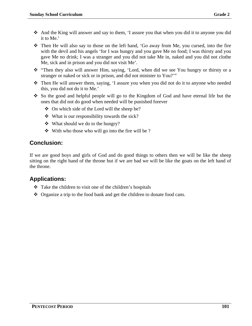- Then He will also say to those on the left hand, 'Go away from Me, you cursed, into the fire with the devil and his angels 'for I was hungry and you gave Me no food; I was thirsty and you gave Me no drink; I was a stranger and you did not take Me in, naked and you did not clothe Me, sick and in prison and you did not visit Me'.
- \* "Then they also will answer Him, saying, 'Lord, when did we see You hungry or thirsty or a stranger or naked or sick or in prison, and did not minister to You?'"
- Then He will answer them, saying, 'I assure you when you did not do it to anyone who needed this, you did not do it to Me.'
- So the good and helpful people will go to the Kingdom of God and have eternal life but the ones that did not do good when needed will be punished forever
	- $\bullet$  On which side of the Lord will the sheep be?
	- $\triangleleft$  What is our responsibility towards the sick?
	- What should we do to the hungry?
	- $\bullet\bullet\text{ With who those who will go into the fire will be?}$

If we are good boys and girls of God and do good things to others then we will be like the sheep sitting on the right hand of the throne but if we are bad we will be like the goats on the left hand of the throne.

- $\triangle$  Take the children to visit one of the children's hospitals
- Organize a trip to the food bank and get the children to donate food cans.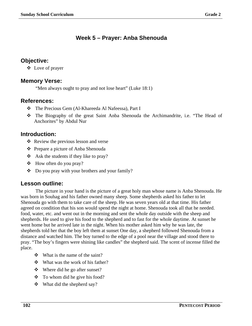## **Week 5 – Prayer: Anba Shenouda**

## **Objective:**

Love of prayer

### **Memory Verse:**

"Men always ought to pray and not lose heart" (Luke 18:1)

### **References:**

- \* The Precious Gem (Al-Khareeda Al Nafeessa), Part I
- The Biography of the great Saint Anba Shenouda the Archimandrite, i.e. "The Head of Anchorites" by Abdul Nur

### **Introduction:**

- $\triangleleft$  Review the previous lesson and verse
- Prepare a picture of Anba Shenouda
- $\triangleleft$  Ask the students if they like to pray?
- How often do you pray?
- Do you pray with your brothers and your family?

### **Lesson outline:**

The picture in your hand is the picture of a great holy man whose name is Anba Shenouda. He was born in Souhag and his father owned many sheep. Some shepherds asked his father to let Shenouda go with them to take care of the sheep. He was seven years old at that time. His father agreed on condition that his son would spend the night at home. Shenouda took all that he needed. food, water, etc. and went out in the morning and sent the whole day outside with the sheep and shepherds. He used to give his food to the shepherd and to fast for the whole daytime. At sunset he went home but he arrived late in the night. When his mother asked him why he was late, the shepherds told her that the boy left them at sunset One day, a shepherd followed Shenouda from a distance and watched him. The boy turned to the edge of a pool near the village and stood there to pray. "The boy's fingers were shining like candles" the shepherd said. The scent of incense filled the place.

- $\div$  What is the name of the saint?
- What was the work of his father?
- Where did he go after sunset?
- $\bullet$  To whom did he give his food?
- What did the shepherd say?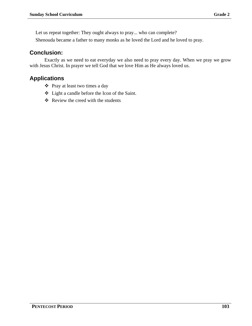Let us repeat together: They ought always to pray... who can complete?

Shenouda became a father to many monks as he loved the Lord and he loved to pray.

#### **Conclusion:**

Exactly as we need to eat everyday we also need to pray every day. When we pray we grow with Jesus Christ. In prayer we tell God that we love Him as He always loved us.

- Pray at least two times a day
- Light a candle before the Icon of the Saint.
- $\triangle$  Review the creed with the students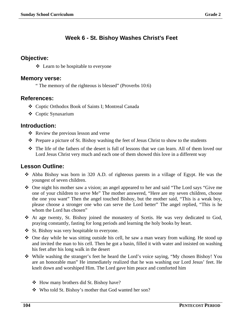## **Week 6 - St. Bishoy Washes Christ's Feet**

### **Objective:**

Learn to be hospitable to everyone

#### **Memory verse:**

" The memory of the righteous is blessed" (Proverbs 10:6)

### **References:**

- Coptic Orthodox Book of Saints I; Montreal Canada
- Coptic Synaxarium

### **Introduction:**

- ❖ Review the previous lesson and verse
- $\triangle$  Prepare a picture of St. Bishoy washing the feet of Jesus Christ to show to the students
- $\hat{\mathbf{\cdot}}$  The life of the fathers of the desert is full of lessons that we can learn. All of them loved our Lord Jesus Christ very much and each one of them showed this love in a different way

## **Lesson Outline:**

- Abba Bishoy was born in 320 A.D. of righteous parents in a village of Egypt. He was the youngest of seven children.
- One night his mother saw a vision; an angel appeared to her and said "The Lord says "Give me one of your children to serve Me" The mother answered, "Here are my seven children, choose the one you want" Then the angel touched Bishoy, but the mother said, "This is a weak boy, please choose a stronger one who can serve the Lord better" The angel replied, "This is he whom the Lord has chosen"
- At age twenty, St. Bishoy joined the monastery of Scetis. He was very dedicated to God, praying constantly, fasting for long periods and learning the holy books by heart.
- St. Bishoy was very hospitable to everyone.
- One day while he was sitting outside his cell, he saw a man weary from walking. He stood up and invited the man to his cell. Then he got a basin, filled it with water and insisted on washing his feet after his long walk in the desert
- While washing the stranger's feet he heard the Lord's voice saying, "My chosen Bishoy! You are an honorable man" He immediately realized that he was washing our Lord Jesus' feet. He knelt down and worshiped Him. The Lord gave him peace and comforted him
	- ❖ How many brothers did St. Bishoy have?
	- Who told St. Bishoy's mother that God wanted her son?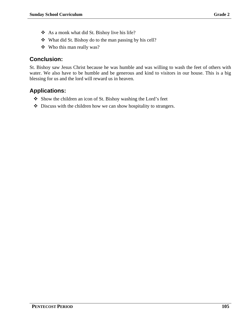- $\triangleleft$  As a monk what did St. Bishoy live his life?
- What did St. Bishoy do to the man passing by his cell?
- Who this man really was?

St. Bishoy saw Jesus Christ because he was humble and was willing to wash the feet of others with water. We also have to be humble and be generous and kind to visitors in our house. This is a big blessing for us and the lord will reward us in heaven.

- Show the children an icon of St. Bishoy washing the Lord's feet
- Discuss with the children how we can show hospitality to strangers.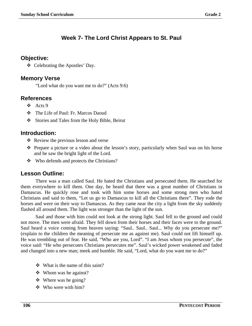## **Week 7- The Lord Christ Appears to St. Paul**

### **Objective:**

Celebrating the Apostles' Day.

### **Memory Verse**

"Lord what do you want me to do?" (Acts 9:6)

## **References**

- Acts 9
- The Life of Paul: Fr. Marcos Daoud
- Stories and Tales from the Holy Bible, Beirut

## **Introduction:**

- **❖** Review the previous lesson and verse
- \* Prepare a picture or a video about the lesson's story, particularly when Saul was on his horse and he saw the bright light of the Lord.
- Who defends and protects the Christians?

## **Lesson Outline:**

There was a man called Saul. He hated the Christians and persecuted them. He searched for them everywhere to kill them. One day, he heard that there was a great number of Christians in Damascus. He quickly rose and took with him some horses and some strong men who hated Christians and said to them, "Let us go to Damascus to kill all the Christians there". They rode the horses and were on their way to Damascus. As they came near the city a light from the sky suddenly flashed all around them. The light was stronger than the light of the sun.

Saul and those with him could not look at the strong light. Saul fell to the ground and could not move. The men were afraid. They fell down from their horses and their faces were to the ground. Saul heard a voice coming from heaven saying: "Saul.. Saul.. Saul... Why do you persecute me?" (explain to the children the meaning of persecute me as against me). Saul could not lift himself up. He was trembling out of fear. He said, "Who are you, Lord". "I am Jesus whom you persecute", the voice said: "He who persecutes Christians persecutes me". Saul's wicked power weakened and faded and changed into a new man; meek and humble. He said, "Lord, what do you want me to do?"

- What is the name of this saint?
- ❖ Whom was he against?
- Where was he going?
- Who were with him?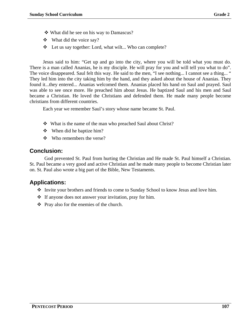- What did he see on his way to Damascus?
- $\div$  What did the voice say?
- Let us say together: Lord, what wilt... Who can complete?

Jesus said to him: "Get up and go into the city, where you will be told what you must do. There is a man called Ananias, he is my disciple. He will pray for you and will tell you what to do". The voice disappeared. Saul felt this way. He said to the men, "I see nothing... I cannot see a thing... " They led him into the city taking him by the hand, and they asked about the house of Ananias. They found it...they entered... Ananias welcomed them. Ananias placed his hand on Saul and prayed. Saul was able to see once more. He preached him about Jesus. He baptized Saul and his men and Saul became a Christian. He loved the Christians and defended them. He made many people become christians from different countries.

Each year we remember Saul's story whose name became St. Paul.

- What is the name of the man who preached Saul about Christ?
- $\bullet\bullet\quad$  When did he baptize him?
- Who remembers the verse?

#### **Conclusion:**

God prevented St. Paul from hurting the Christian and He made St. Paul himself a Christian. St. Paul became a very good and active Christian and he made many people to become Christian later on. St. Paul also wrote a big part of the Bible, New Testaments.

- Invite your brothers and friends to come to Sunday School to know Jesus and love him.
- If anyone does not answer your invitation, pray for him.
- Pray also for the enemies of the church.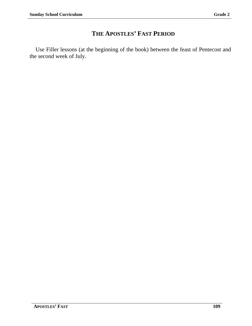# **THE APOSTLES' FAST PERIOD**

Use Filler lessons (at the beginning of the book) between the feast of Pentecost and the second week of July.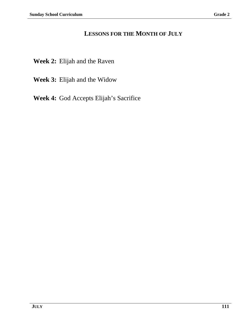- **Week 2:** Elijah and the Raven
- **Week 3:** Elijah and the Widow
- **Week 4:** God Accepts Elijah's Sacrifice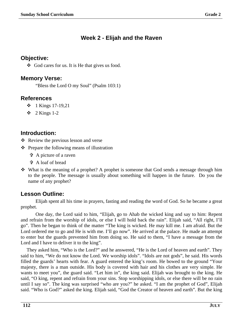## **Week 2 - Elijah and the Raven**

## **Objective:**

God cares for us. It is He that gives us food.

## **Memory Verse:**

"Bless the Lord O my Soul" (Psalm 103:1)

## **References**

- $\div$  1 Kings 17-19,21
- $\div$  2 Kings 1-2

## **Introduction:**

- ❖ Review the previous lesson and verse
- $\triangle$  Prepare the following means of illustration
	- $\mathbf{\hat{P}}$  A picture of a raven
	- = A loaf of bread
- What is the meaning of a prophet? A prophet is someone that God sends a message through him to the people. The message is usually about something will happen in the future. Do you the name of any prophet?

## **Lesson Outline:**

Elijah spent all his time in prayers, fasting and reading the word of God. So he became a great prophet.

One day, the Lord said to him, "Elijah, go to Ahab the wicked king and say to him: Repent and refrain from the worship of idols, or else I will hold back the rain". Elijah said, "All right, I'll go". Then he began to think of the matter "The king is wicked. He may kill me. I am afraid. But the Lord ordered me to go and He is with me. I'll go now". He arrived at the palace. He made an attempt to enter but the guards prevented him from doing so. He said to them, "I have a message from the Lord and I have to deliver it to the king".

They asked him, "Who is the Lord?" and he answered, "He is the Lord of heaven and earth". They said to him, "We do not know the Lord. We worship idols". "Idols are not gods", he said. His words filled the guards' hearts with fear. A guard entered the king's room. He bowed to the ground "Your majesty, there is a man outside. His body is covered with hair and his clothes are very simple. He wants to meet you", the guard said. "Let him in", the king said. Elijah was brought to the king. He said, "O king, repent and refrain from your sins. Stop worshipping idols, or else there will be no rain until I say so". The king was surprised "who are you?" he asked. "I am the prophet of God", Elijah said. "Who is God?" asked the king. Elijah said, "God the Creator of heaven and earth". But the king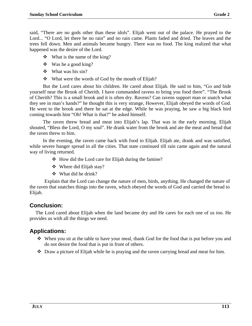said, "There are no gods other than these idols". Elijah went out of the palace. He prayed to the Lord... "O Lord, let there be no rain" and no rain came. Plants faded and dried. The leaves and the trees fell down. Men and animals became hungry. There was no food. The king realized that what happened was the desire of the Lord.

- $\bullet\bullet\text{ What is the name of the king?}$
- $\bullet$  Was he a good king?
- $\mathbf{\hat{\cdot}}$  What was his sin?
- What were the words of God by the mouth of Elijah?

But the Lord cares about his children. He cared about Elijah. He said to him, "Go and hide yourself near the Brook of Cherith. I have commanded ravens to bring you food there". "The Brook of Cherith? This is a small brook and it is often dry. Ravens? Can ravens support man or snatch what they see in man's hands?" he thought this is very strange, However, Elijah obeyed the words of God. He went to the brook and there he sat at the edge. While he was praying, he saw a big black bird coming towards him "Oh! What is that?" he asked himself.

The raven threw bread and meat into Elijah's lap. That was in the early morning. Elijah shouted, "Bless the Lord, O my soul". He drank water from the brook and ate the meat and bread that the raven threw to him.

In the evening, the raven came back with food to Elijah. Elijah ate, drank and was satisfied, while severe hunger spread in all the cities. That state continued till rain came again and the natural way of living returned.

- $\bullet$  How did the Lord care for Elijah during the famine?
- Where did Elijah stay?
- $\div$  What did he drink?

Explain that the Lord can change the nature of men, birds, anything. He changed the nature of the raven that snatches things into the raven, which obeyed the words of God and carried the bread to Elijah.

### **Conclusion:**

The Lord cared about Elijah when the land became dry and He cares for each one of us too. He provides us with all the things we need.

- When you sit at the table to have your meal, thank God for the food that is put before you and do not desire the food that is put in front of others.
- $\bullet$  Draw a picture of Elijah while he is praying and the raven carrying bread and meat for him.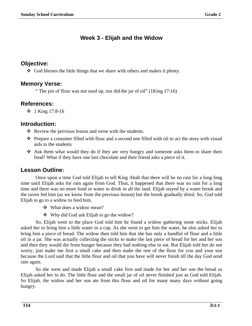## **Week 3 - Elijah and the Widow**

## **Objective:**

God blesses the little things that we share with others and makes it plenty.

### **Memory Verse:**

" The pin of flour was not used up, nor did the jar of oil" (1King 17:16)

## **References:**

 $\div$  1 King 17:8-16

## **Introduction:**

- $\triangle$  Review the previous lesson and verse with the students.
- Prepare a container filled with flour and a second one filled with oil to act the story with visual aids to the students
- Ask them what would they do if they are very hungry and someone asks them to share their food? What if they have one last chocolate and their friend asks a piece of it.

## **Lesson Outline:**

Once upon a time God told Elijah to tell King Ahab that there will be no rain for a long long time until Elijah asks for rain again from God. Thus, it happened that there was no rain for a long time and there was no more food or water to drink in all the land. Elijah stayed by a water brook and the raven fed him (as we know from the previous lesson) but the brook gradually dried. So, God told Elijah to go to a widow to feed him.

- What does a widow mean?
- Why did God ask Elijah to go the widow?

So, Elijah went to the place God told him he found a widow gathering some sticks. Elijah asked her to bring him a little water in a cup. As she went to get him the water, he also asked her to bring him a piece of bread. The widow then told him that she has only a handful of flour and a little oil in a jar. She was actually collecting the sticks to make the last piece of bread for her and her son and then they would die from hunger because they had nothing else to eat. But Elijah told her do not worry, just make me first a small cake and then make the rest of the flour for you and your son because the Lord said that the little flour and oil that you have will never finish till the day God send rain again.

So she went and made Elijah a small cake first and made for her and her son the bread as Elijah asked her to do. The little flour and the small jar of oil never finished just as God told Elijah. So Elijah, the widow and her son ate from this flour and oil for many many days without going hungry.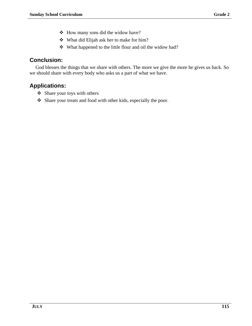- ❖ How many sons did the widow have?
- What did Elijah ask her to make for him?
- What happened to the little flour and oil the widow had?

God blesses the things that we share with others. The more we give the more he gives us back. So we should share with every body who asks us a part of what we have.

- Share your toys with others
- Share your treats and food with other kids, especially the poor.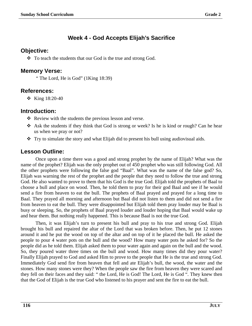## **Week 4 - God Accepts Elijah's Sacrifice**

### **Objective:**

To teach the students that our God is the true and strong God.

### **Memory Verse:**

*"* The Lord, He is God" (1King 18:39)

## **References:**

• King  $18:20-40$ 

### **Introduction:**

- \* Review with the students the previous lesson and verse.
- $\clubsuit$  Ask the students if they think that God is strong or week? Is he is kind or rough? Can he hear us when we pray or not?
- Try to simulate the story and what Elijah did to present his bull using audiovisual aids.

## **Lesson Outline:**

Once upon a time there was a good and strong prophet by the name of Elijah? What was the name of the prophet? Elijah was the only prophet out of 450 prophet who was still following God. All the other prophets were following the false god "Baal". What was the name of the false god? So, Elijah was warning the rest of the prophet and the people that they need to follow the true and strong God. He also wanted to prove to them that his God is the true God. Elijah told the prophets of Baal to choose a bull and place on wood. Then, he told them to pray for their god Baal and see if he would send a fire from heaven to eat the bull. The prophets of Baal prayed and prayed for a long time to Baal. They prayed all morning and afternoon but Baal did not listen to them and did not send a fire from heaven to eat the bull. They were disappointed but Elijah told them pray louder may be Baal is busy or sleeping. So, the prophets of Baal prayed louder and louder hoping that Baal would wake up and hear them. But nothing really happened. This is because Baal is not the true God.

Then, it was Elijah's turn to present his bull and pray to his true and strong God. Elijah brought his bull and repaired the altar of the Lord that was broken before. Then, he put 12 stones around it and he put the wood on top of the altar and on top of it he placed the bull. He asked the people to pour 4 water pots on the bull and the wood? How many water pots he asked for? So the people did as he told them. Elijah asked them to pour water again and again on the bull and the wood. So, they poured water three times on the bull and wood. How many times did they pour water? Finally Elijah prayed to God and asked Him to prove to the people that He is the true and strong God. Immediately God send fire from heaven that fell and ate Elijah's bull, the wood, the water and the stones. How many stones were they? When the people saw the fire from heaven they were scared and they fell on their faces and they said: " the Lord, He is God! The Lord, He is God ". They knew then that the God of Elijah is the true God who listened to his prayer and sent the fire to eat the bull.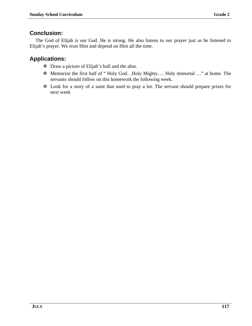The God of Elijah is our God. He is strong. He also listens to our prayer just as he listened to Elijah's prayer. We trust Him and depend on Him all the time.

- Draw a picture of Elijah's bull and the altar.
- Memorize the first half of " Holy God…Holy Mighty…. Holy immortal …" at home. The servants should follow on this homework the following week.
- Look for a story of a saint that used to pray a lot. The servant should prepare prizes for next week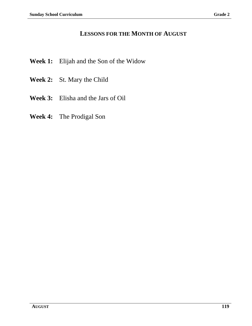## **LESSONS FOR THE MONTH OF AUGUST**

- **Week 1:** Elijah and the Son of the Widow
- **Week 2:** St. Mary the Child
- **Week 3:** Elisha and the Jars of Oil
- **Week 4:** The Prodigal Son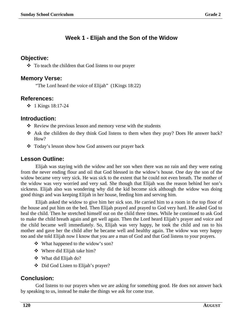## **Week 1 - Elijah and the Son of the Widow**

### **Objective:**

To teach the children that God listens to our prayer

#### **Memory Verse:**

"The Lord heard the voice of Elijah" (1Kings 18:22)

### **References:**

 $\div$  1 Kings 18:17-24

#### **Introduction:**

- $\triangle$  Review the previous lesson and memory verse with the students
- Ask the children do they think God listens to them when they pray? Does He answer back? H<sub>ow</sub>?
- Today's lesson show how God answers our prayer back

## **Lesson Outline:**

Elijah was staying with the widow and her son when there was no rain and they were eating from the never ending flour and oil that God blessed in the widow's house. One day the son of the widow became very very sick. He was sick to the extent that he could not even breath. The mother of the widow was very worried and very sad. She though that Elijah was the reason behind her son's sickness. Elijah also was wondering why did the kid become sick although the widow was doing good things and was keeping Elijah in her house, feeding him and serving him.

Elijah asked the widow to give him her sick son. He carried him to a room in the top floor of the house and put him on the bed. Then Elijah prayed and prayed to God very hard. He asked God to heal the child. Then he stretched himself out on the child three times. While he continued to ask God to make the child breath again and get well again. Then the Lord heard Elijah's prayer and voice and the child became well immediately. So, Elijah was very happy, he took the child and ran to his mother and gave her the child after he became well and healthy again. The widow was very happy too and she told Elijah now I know that you are a man of God and that God listens to your prayers.

- ❖ What happened to the widow's son?
- Where did Elijah take him?
- What did Elijah do?
- Did God Listen to Elijah's prayer?

## **Conclusion:**

God listens to our prayers when we are asking for something good. He does not answer back by speaking to us, instead he make the things we ask for come true.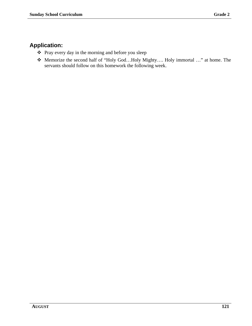- \* Pray every day in the morning and before you sleep
- Memorize the second half of "Holy God…Holy Mighty…. Holy immortal …" at home. The servants should follow on this homework the following week.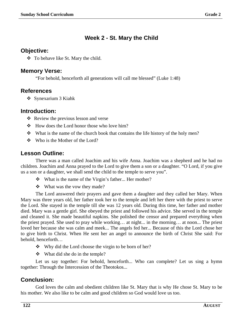### **Week 2 - St. Mary the Child**

### **Objective:**

 $\div$  To behave like St. Mary the child.

#### **Memory Verse:**

"For behold, henceforth all generations will call me blessed" (Luke 1:48)

### **References**

 $\div$  Synexarium 3 Kiahk

#### **Introduction:**

- ❖ Review the previous lesson and verse
- $\triangleleft$  How does the Lord honor those who love him?
- What is the name of the church book that contains the life history of the holy men?
- Who is the Mother of the Lord?

## **Lesson Outline:**

There was a man called Joachim and his wife Anna. Joachim was a shepherd and he had no children. Joachim and Anna prayed to the Lord to give them a son or a daughter. "O Lord, if you give us a son or a daughter, we shall send the child to the temple to serve you".

- What is the name of the Virgin's father... Her mother?
- What was the vow they made?

The Lord answered their prayers and gave them a daughter and they called her Mary. When Mary was three years old, her father took her to the temple and left her there with the priest to serve the Lord. She stayed in the temple till she was 12 years old. During this time, her father and mother died. Mary was a gentle girl. She obeyed the priest and followed his advice. She served in the temple and cleaned it. She made beautiful napkins. She polished the censor and prepared everything when the priest prayed. She used to pray while working… at night... in the morning… at noon... The priest loved her because she was calm and meek... The angels fed her... Because of this the Lord chose her to give birth to Christ. When He sent her an angel to announce the birth of Christ She said: For behold, henceforth…

- Why did the Lord choose the virgin to be born of her?
- What did she do in the temple?

Let us say together: For behold, henceforth... Who can complete? Let us sing a hymn together: Through the Intercession of the Theotokos...

## **Conclusion:**

God loves the calm and obedient children like St. Mary that is why He chose St. Mary to be his mother. We also like to be calm and good children so God would love us too.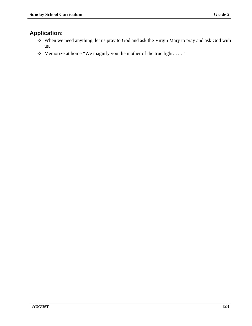- When we need anything, let us pray to God and ask the Virgin Mary to pray and ask God with us.
- Memorize at home "We magnify you the mother of the true light……"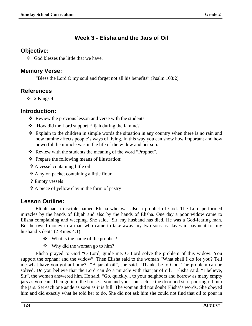## **Week 3 - Elisha and the Jars of Oil**

### **Objective:**

❖ God blesses the little that we have.

### **Memory Verse:**

"Bless the Lord O my soul and forget not all his benefits" (Psalm 103:2)

## **References**

 $\div$  2 Kings 4

### **Introduction:**

- ❖ Review the previous lesson and verse with the students
- $\bullet$  How did the Lord support Elijah during the famine?
- Explain to the children in simple words the situation in any country when there is no rain and how famine affects people's ways of living. In this way you can show how important and how powerful the miracle was in the life of the widow and her son.
- Review with the students the meaning of the word "Prophet".
- $\triangleleft$  Prepare the following means of illustration:
- = A vessel containing little oil
- = A nylon packet containing a little flour
- = Empty vessels
- = A piece of yellow clay in the form of pastry

### **Lesson Outline:**

Elijah had a disciple named Elisha who was also a prophet of God. The Lord performed miracles by the hands of Elijah and also by the hands of Elisha. One day a poor widow came to Elisha complaining and weeping. She said, "Sir, my husband has died. He was a God-fearing man. But he owed money to a man who came to take away my two sons as slaves in payment for my husband's debt" (2 Kings 4:1).

- What is the name of the prophet?
- $\bullet\bullet\quad$  Why did the woman go to him?

Elisha prayed to God "O Lord, guide me. O Lord solve the problem of this widow. You support the orphan; and the widow". Then Elisha said to the woman "What shall I do for you? Tell me what have you got at home?" "A jar of oil", she said. "Thanks be to God. The problem can be solved. Do you believe that the Lord can do a miracle with that jar of oil?" Elisha said. "I believe, Sir", the woman answered him. He said, "Go, quickly... to your neighbors and borrow as many empty jars as you can. Then go into the house... you and your son... close the door and start pouring oil into the jars. Set each one aside as soon as it is full. The woman did not doubt Elisha's words. She obeyed him and did exactly what he told her to do. She did not ask him she could not find that oil to pour in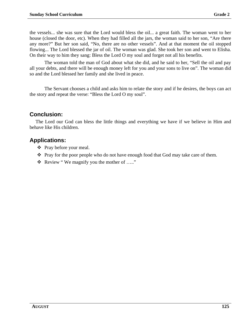the vessels... she was sure that the Lord would bless the oil... a great faith. The woman went to her house (closed the door, etc). When they had filled all the jars, the woman said to her son, "Are there any more?" But her son said, "No, there are no other vessels". And at that moment the oil stopped flowing... The Lord blessed the jar of oil. The woman was glad. She took her son and went to Elisha. On their way to him they sang: Bless the Lord O my soul and forget not all his benefits.

The woman told the man of God about what she did, and he said to her, "Sell the oil and pay all your debts, and there will be enough money left for you and your sons to live on". The woman did so and the Lord blessed her family and she lived in peace.

The Servant chooses a child and asks him to relate the story and if he desires, the boys can act the story and repeat the verse: "Bless the Lord O my soul".

#### **Conclusion:**

The Lord our God can bless the little things and everything we have if we believe in Him and behave like His children.

- Pray before your meal.
- Pray for the poor people who do not have enough food that God may take care of them.
- \* Review "We magnify you the mother of ....."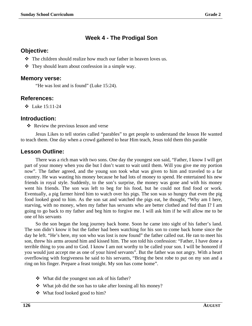## **Week 4 - The Prodigal Son**

#### **Objective:**

- $\triangle$  The children should realize how much our father in heaven loves us.
- $\triangle$  They should learn about confession in a simple way.

#### **Memory verse:**

"He was lost and is found" (Luke 15:24).

### **References:**

 $\cdot \cdot$  Luke 15:11-24

### **Introduction:**

 $\triangleleft$  Review the previous lesson and verse

Jesus Likes to tell stories called "parables" to get people to understand the lesson He wanted to teach them. One day when a crowd gathered to hear Him teach, Jesus told them this parable

### **Lesson Outline:**

There was a rich man with two sons. One day the youngest son said, "Father, I know I will get part of your money when you die but I don't want to wait until them. Will you give me my portion now". The father agreed, and the young son took what was given to him and traveled to a far country. He was wasting his money because he had lots of money to spend. He entertained his new friends in royal style. Suddenly, to the son's surprise, the money was gone and with his money went his friends. The son was left to beg for his food, but he could not find food or work. Eventually, a pig farmer hired him to watch over his pigs. The son was so hungry that even the pig food looked good to him. As the son sat and watched the pigs eat, he thought, "Why am I here, starving, with no money, when my father has servants who are better clothed and fed than I? I am going to go back to my father and beg him to forgive me. I will ask him if he will allow me to be one of his servants

So the son began the long journey back home. Soon he came into sight of his father's land. The son didn't know it but the father had been watching for his son to come back home since the day he left. "He's here, my son who was lost is now found" the father called out. He ran to meet his son, threw his arms around him and kissed him. The son told his confession: "Father, I have done a terrible thing to you and to God. I know I am not worthy to be called your son. I will be honored if you would just accept me as one of your hired servants". But the father was not angry. With a heart overflowing with forgiveness he said to his servants, "Bring the best robe to put on my son and a ring on his finger. Prepare a feast tonight. My son has come home".

- What did the youngest son ask of his father?
- $\cdot$  What job did the son has to take after loosing all his money?
- What food looked good to him?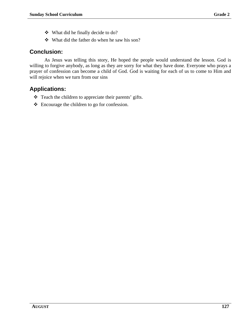- What did he finally decide to do?
- What did the father do when he saw his son?

As Jesus was telling this story, He hoped the people would understand the lesson. God is willing to forgive anybody, as long as they are sorry for what they have done. Everyone who prays a prayer of confession can become a child of God. God is waiting for each of us to come to Him and will rejoice when we turn from our sins

- $\div$  Teach the children to appreciate their parents' gifts.
- Encourage the children to go for confession.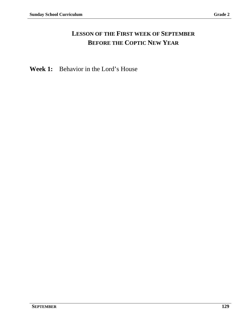# **LESSON OF THE FIRST WEEK OF SEPTEMBER BEFORE THE COPTIC NEW YEAR**

**Week 1:** Behavior in the Lord's House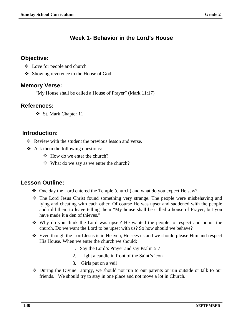## **Week 1- Behavior in the Lord's House**

## **Objective:**

- Love for people and church
- Showing reverence to the House of God

## **Memory Verse:**

"My House shall be called a House of Prayer" (Mark 11:17)

## **References:**

St. Mark Chapter 11

## **Introduction:**

- $\triangle$  Review with the student the previous lesson and verse.
- $\triangleleft$  Ask them the following questions:
	- How do we enter the church?
	- What do we say as we enter the church?

## **Lesson Outline:**

- One day the Lord entered the Temple (church) and what do you expect He saw?
- The Lord Jesus Christ found something very strange. The people were misbehaving and lying and cheating with each other. Of course He was upset and saddened with the people and told them to leave telling them "My house shall be called a house of Prayer, but you have made it a den of thieves."
- Why do you think the Lord was upset? He wanted the people to respect and honor the church. Do we want the Lord to be upset with us? So how should we behave?
- Even though the Lord Jesus is in Heaven, He sees us and we should please Him and respect His House. When we enter the church we should:
	- 1. Say the Lord's Prayer and say Psalm 5:7
	- 2. Light a candle in front of the Saint's icon
	- 3. Girls put on a veil
- During the Divine Liturgy, we should not run to our parents or run outside or talk to our friends. We should try to stay in one place and not move a lot in Church.